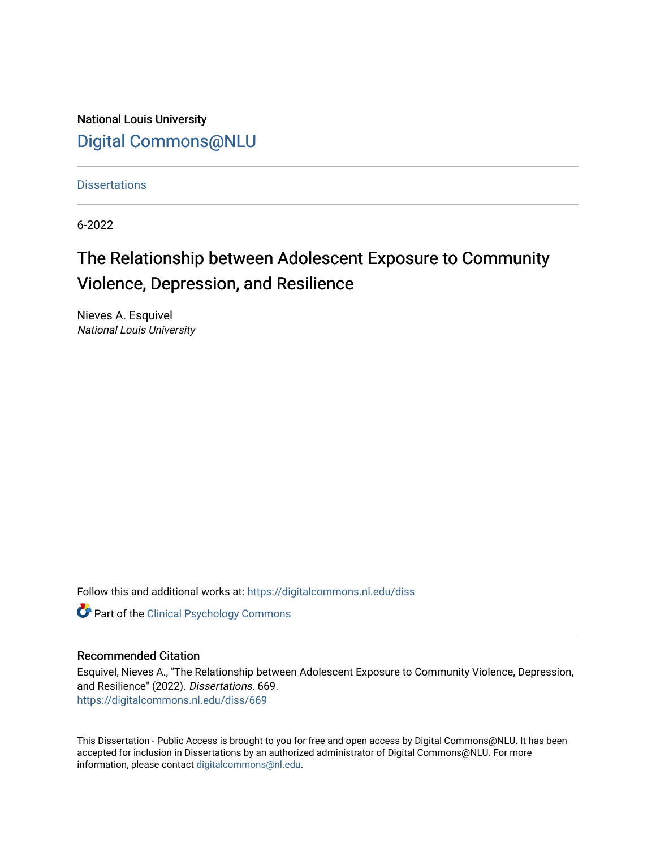National Louis University [Digital Commons@NLU](https://digitalcommons.nl.edu/)

**Dissertations** 

6-2022

# The Relationship between Adolescent Exposure to Community Violence, Depression, and Resilience

Nieves A. Esquivel National Louis University

Follow this and additional works at: [https://digitalcommons.nl.edu/diss](https://digitalcommons.nl.edu/diss?utm_source=digitalcommons.nl.edu%2Fdiss%2F669&utm_medium=PDF&utm_campaign=PDFCoverPages) 

**Part of the Clinical Psychology Commons** 

#### Recommended Citation

Esquivel, Nieves A., "The Relationship between Adolescent Exposure to Community Violence, Depression, and Resilience" (2022). Dissertations. 669. [https://digitalcommons.nl.edu/diss/669](https://digitalcommons.nl.edu/diss/669?utm_source=digitalcommons.nl.edu%2Fdiss%2F669&utm_medium=PDF&utm_campaign=PDFCoverPages) 

This Dissertation - Public Access is brought to you for free and open access by Digital Commons@NLU. It has been accepted for inclusion in Dissertations by an authorized administrator of Digital Commons@NLU. For more information, please contact [digitalcommons@nl.edu.](mailto:digitalcommons@nl.edu)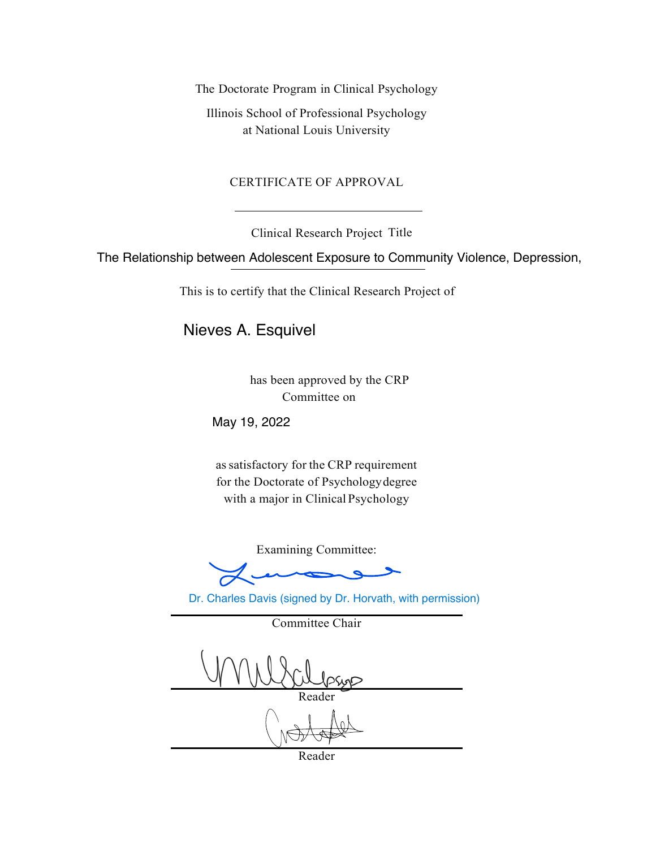The Doctorate Program in Clinical Psychology

Illinois School of Professional Psychology at National Louis University

## CERTIFICATE OF APPROVAL

Clinical Research Project Title

The Relationship between Adolescent Exposure to Community Violence, Depression,

This is to certify that the Clinical Research Project of

Nieves A. Esquivel

has been approved by the CRP Committee on

May 19, 2022

assatisfactory for the CRP requirement for the Doctorate of Psychologydegree with a major in Clinical Psychology

Examining Committee:

Dr. Charles Davis (signed by Dr. Horvath, with permission)

Committee Chair

Reader

Reader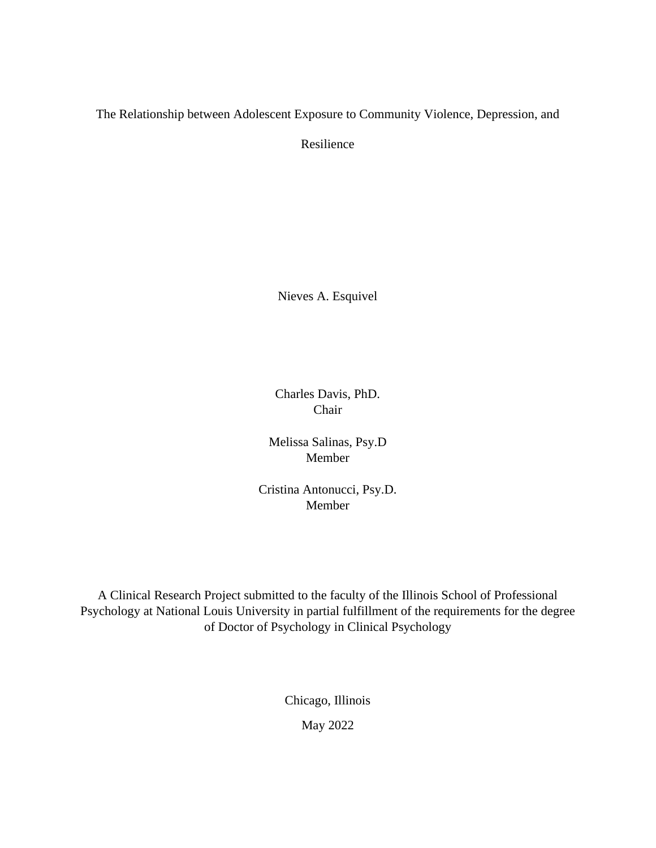The Relationship between Adolescent Exposure to Community Violence, Depression, and

Resilience

Nieves A. Esquivel

Charles Davis, PhD. Chair

Melissa Salinas, Psy.D Member

Cristina Antonucci, Psy.D. Member

A Clinical Research Project submitted to the faculty of the Illinois School of Professional Psychology at National Louis University in partial fulfillment of the requirements for the degree of Doctor of Psychology in Clinical Psychology

> Chicago, Illinois May 2022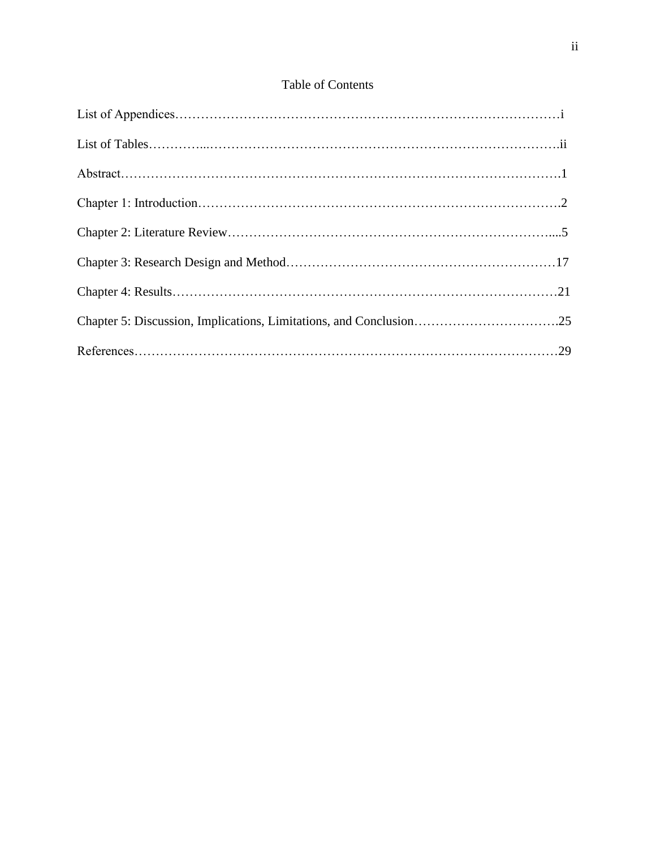## Table of Contents

| Chapter 5: Discussion, Implications, Limitations, and Conclusion25 |  |
|--------------------------------------------------------------------|--|
|                                                                    |  |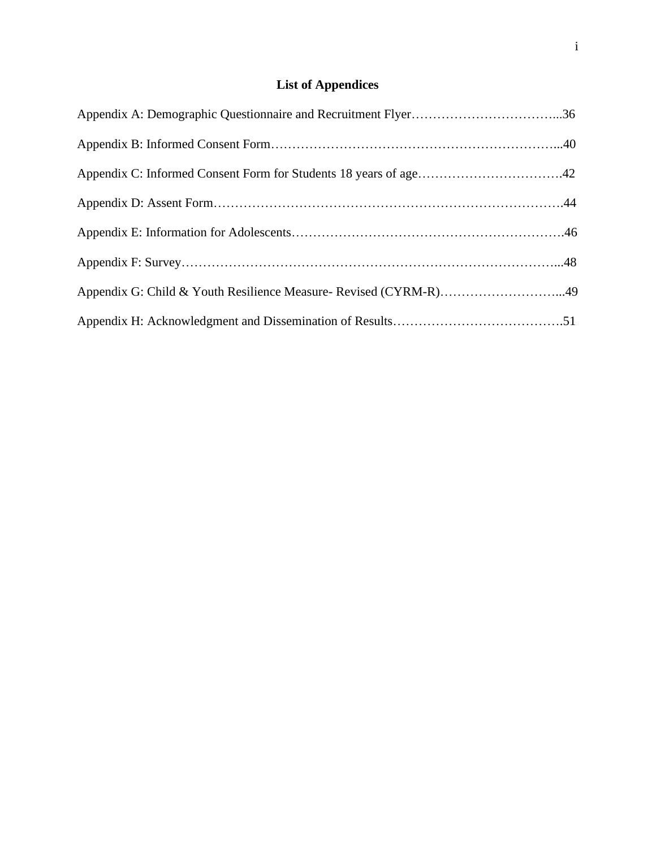## **List of Appendices**

| Appendix C: Informed Consent Form for Students 18 years of age42 |  |
|------------------------------------------------------------------|--|
|                                                                  |  |
|                                                                  |  |
|                                                                  |  |
| Appendix G: Child & Youth Resilience Measure- Revised (CYRM-R)49 |  |
|                                                                  |  |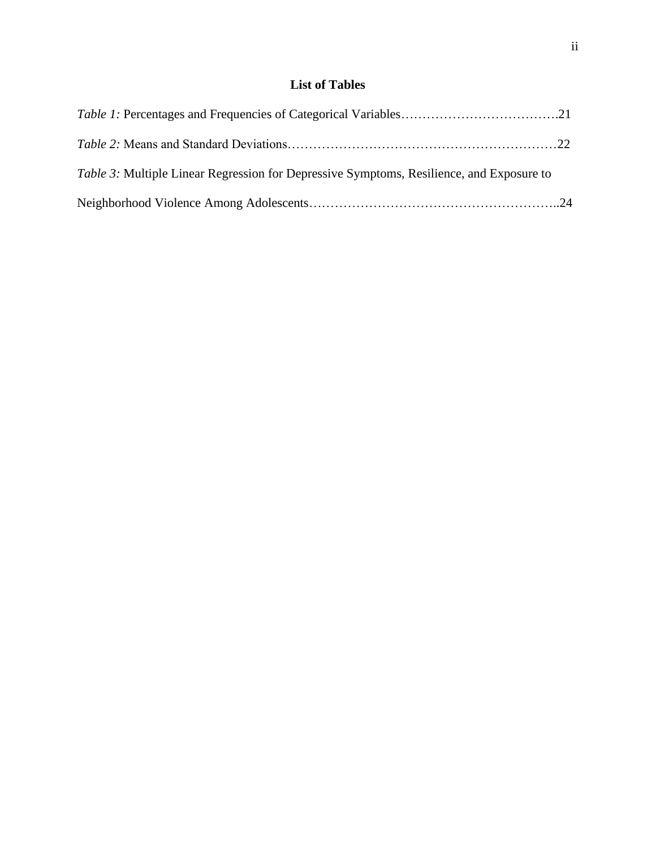## **List of Tables**

| <i>Table 3:</i> Multiple Linear Regression for Depressive Symptoms, Resilience, and Exposure to |  |
|-------------------------------------------------------------------------------------------------|--|
|                                                                                                 |  |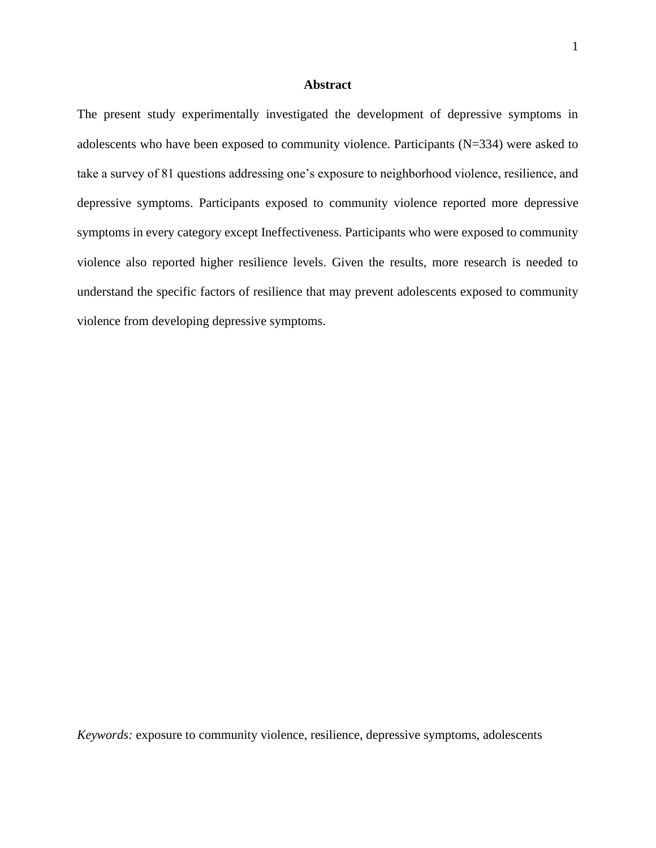#### **Abstract**

The present study experimentally investigated the development of depressive symptoms in adolescents who have been exposed to community violence. Participants (N=334) were asked to take a survey of 81 questions addressing one's exposure to neighborhood violence, resilience, and depressive symptoms. Participants exposed to community violence reported more depressive symptoms in every category except Ineffectiveness. Participants who were exposed to community violence also reported higher resilience levels. Given the results, more research is needed to understand the specific factors of resilience that may prevent adolescents exposed to community violence from developing depressive symptoms.

*Keywords:* exposure to community violence, resilience, depressive symptoms, adolescents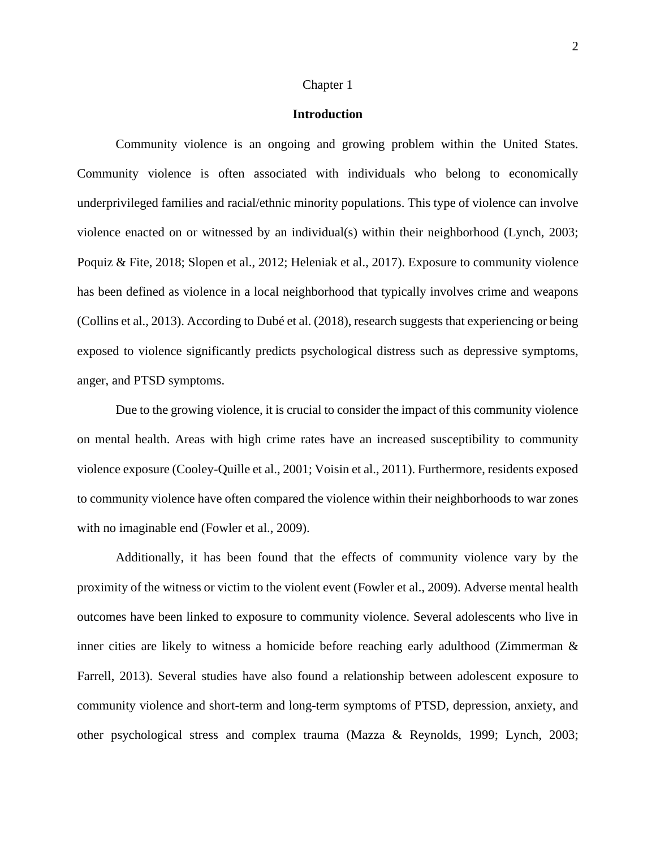### Chapter 1

## **Introduction**

Community violence is an ongoing and growing problem within the United States. Community violence is often associated with individuals who belong to economically underprivileged families and racial/ethnic minority populations. This type of violence can involve violence enacted on or witnessed by an individual(s) within their neighborhood (Lynch, 2003; Poquiz & Fite, 2018; Slopen et al., 2012; Heleniak et al., 2017). Exposure to community violence has been defined as violence in a local neighborhood that typically involves crime and weapons (Collins et al., 2013). According to Dubé et al. (2018), research suggests that experiencing or being exposed to violence significantly predicts psychological distress such as depressive symptoms, anger, and PTSD symptoms.

Due to the growing violence, it is crucial to consider the impact of this community violence on mental health. Areas with high crime rates have an increased susceptibility to community violence exposure (Cooley-Quille et al., 2001; Voisin et al., 2011). Furthermore, residents exposed to community violence have often compared the violence within their neighborhoods to war zones with no imaginable end (Fowler et al., 2009).

Additionally, it has been found that the effects of community violence vary by the proximity of the witness or victim to the violent event (Fowler et al., 2009). Adverse mental health outcomes have been linked to exposure to community violence. Several adolescents who live in inner cities are likely to witness a homicide before reaching early adulthood (Zimmerman & Farrell, 2013). Several studies have also found a relationship between adolescent exposure to community violence and short-term and long-term symptoms of PTSD, depression, anxiety, and other psychological stress and complex trauma (Mazza & Reynolds, 1999; Lynch, 2003;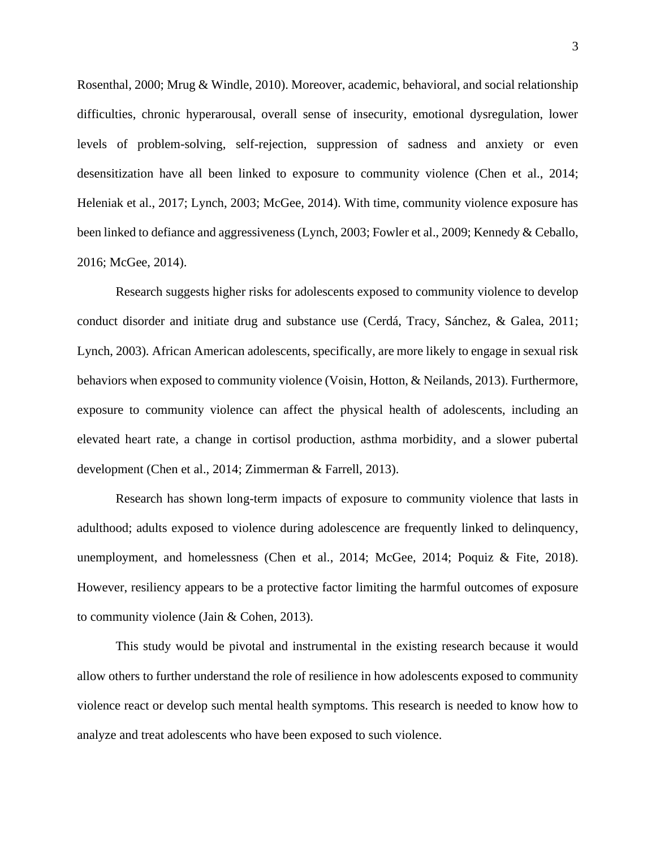Rosenthal, 2000; Mrug & Windle, 2010). Moreover, academic, behavioral, and social relationship difficulties, chronic hyperarousal, overall sense of insecurity, emotional dysregulation, lower levels of problem-solving, self-rejection, suppression of sadness and anxiety or even desensitization have all been linked to exposure to community violence (Chen et al., 2014; Heleniak et al., 2017; Lynch, 2003; McGee, 2014). With time, community violence exposure has been linked to defiance and aggressiveness (Lynch, 2003; Fowler et al., 2009; Kennedy & Ceballo, 2016; McGee, 2014).

Research suggests higher risks for adolescents exposed to community violence to develop conduct disorder and initiate drug and substance use (Cerdá, Tracy, Sánchez, & Galea, 2011; Lynch, 2003). African American adolescents, specifically, are more likely to engage in sexual risk behaviors when exposed to community violence (Voisin, Hotton, & Neilands, 2013). Furthermore, exposure to community violence can affect the physical health of adolescents, including an elevated heart rate, a change in cortisol production, asthma morbidity, and a slower pubertal development (Chen et al., 2014; Zimmerman & Farrell, 2013).

Research has shown long-term impacts of exposure to community violence that lasts in adulthood; adults exposed to violence during adolescence are frequently linked to delinquency, unemployment, and homelessness (Chen et al., 2014; McGee, 2014; Poquiz & Fite, 2018). However, resiliency appears to be a protective factor limiting the harmful outcomes of exposure to community violence (Jain & Cohen, 2013).

This study would be pivotal and instrumental in the existing research because it would allow others to further understand the role of resilience in how adolescents exposed to community violence react or develop such mental health symptoms. This research is needed to know how to analyze and treat adolescents who have been exposed to such violence.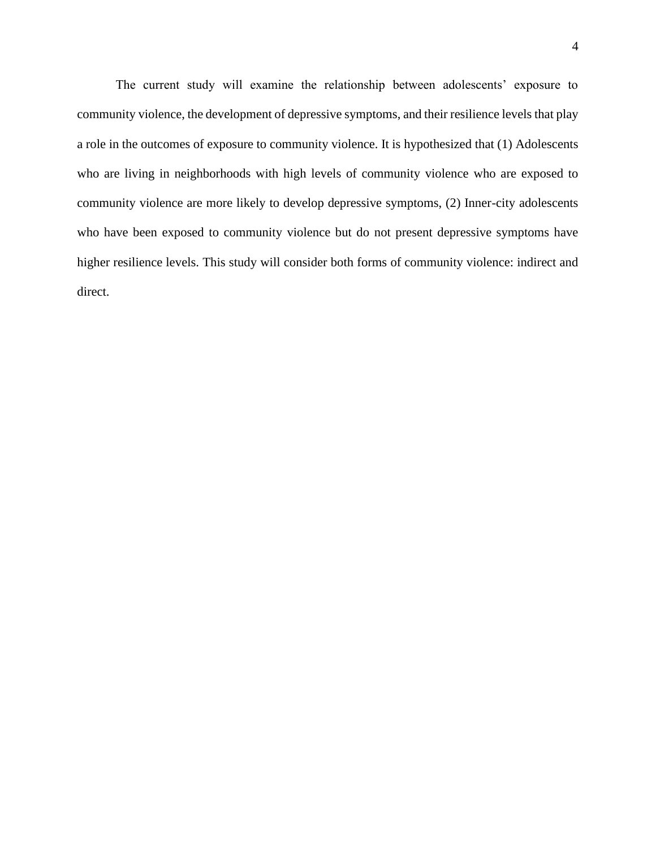The current study will examine the relationship between adolescents' exposure to community violence, the development of depressive symptoms, and their resilience levels that play a role in the outcomes of exposure to community violence. It is hypothesized that (1) Adolescents who are living in neighborhoods with high levels of community violence who are exposed to community violence are more likely to develop depressive symptoms, (2) Inner-city adolescents who have been exposed to community violence but do not present depressive symptoms have higher resilience levels. This study will consider both forms of community violence: indirect and direct.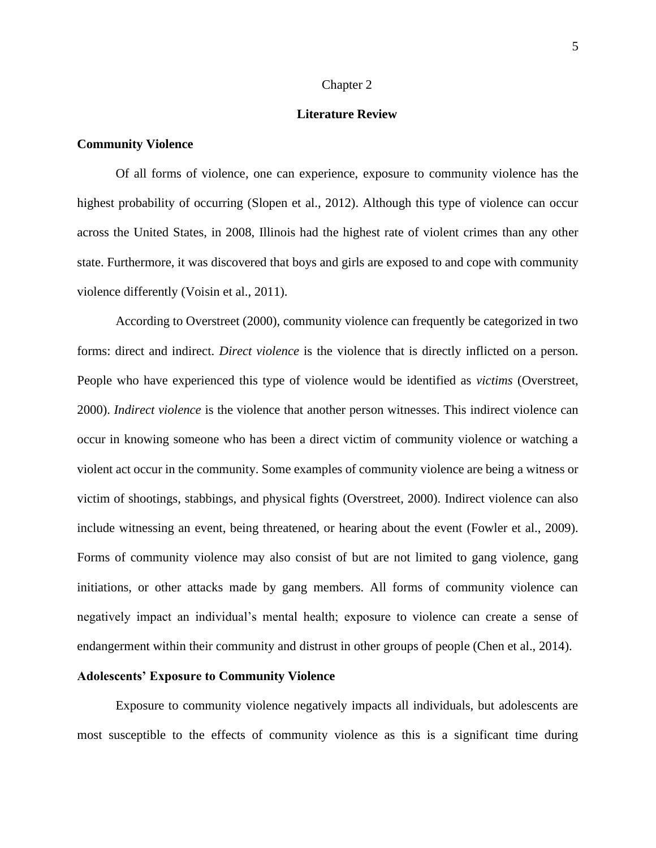#### Chapter 2

#### **Literature Review**

#### **Community Violence**

Of all forms of violence, one can experience, exposure to community violence has the highest probability of occurring (Slopen et al., 2012). Although this type of violence can occur across the United States, in 2008, Illinois had the highest rate of violent crimes than any other state. Furthermore, it was discovered that boys and girls are exposed to and cope with community violence differently (Voisin et al., 2011).

According to Overstreet (2000), community violence can frequently be categorized in two forms: direct and indirect. *Direct violence* is the violence that is directly inflicted on a person. People who have experienced this type of violence would be identified as *victims* (Overstreet, 2000). *Indirect violence* is the violence that another person witnesses. This indirect violence can occur in knowing someone who has been a direct victim of community violence or watching a violent act occur in the community. Some examples of community violence are being a witness or victim of shootings, stabbings, and physical fights (Overstreet, 2000). Indirect violence can also include witnessing an event, being threatened, or hearing about the event (Fowler et al., 2009). Forms of community violence may also consist of but are not limited to gang violence, gang initiations, or other attacks made by gang members. All forms of community violence can negatively impact an individual's mental health; exposure to violence can create a sense of endangerment within their community and distrust in other groups of people (Chen et al., 2014).

#### **Adolescents' Exposure to Community Violence**

Exposure to community violence negatively impacts all individuals, but adolescents are most susceptible to the effects of community violence as this is a significant time during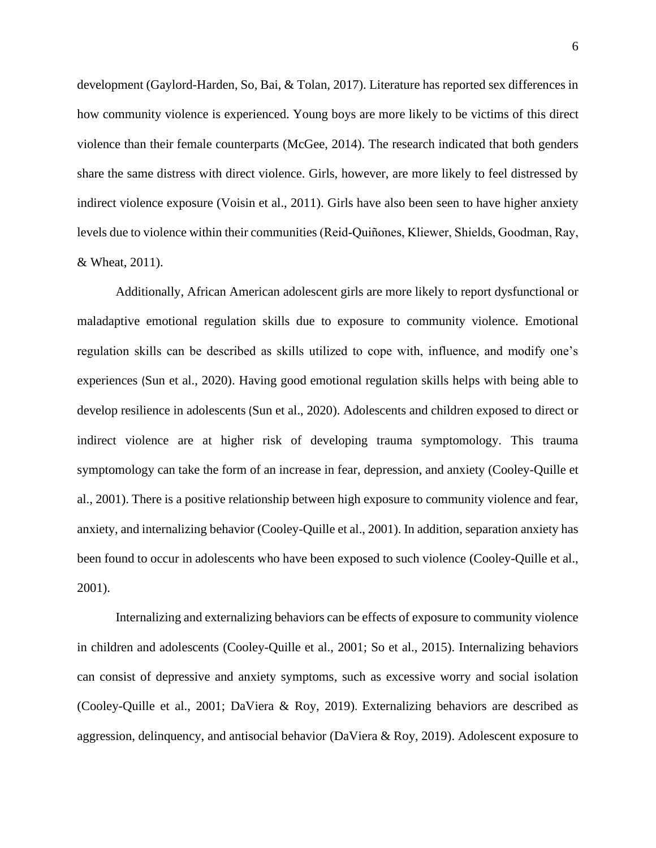development (Gaylord-Harden, So, Bai, & Tolan, 2017). Literature has reported sex differences in how community violence is experienced. Young boys are more likely to be victims of this direct violence than their female counterparts (McGee, 2014). The research indicated that both genders share the same distress with direct violence. Girls, however, are more likely to feel distressed by indirect violence exposure (Voisin et al., 2011). Girls have also been seen to have higher anxiety levels due to violence within their communities (Reid‐Quiñones, Kliewer, Shields, Goodman, Ray, & Wheat, 2011).

Additionally, African American adolescent girls are more likely to report dysfunctional or maladaptive emotional regulation skills due to exposure to community violence. Emotional regulation skills can be described as skills utilized to cope with, influence, and modify one's experiences (Sun et al., 2020). Having good emotional regulation skills helps with being able to develop resilience in adolescents (Sun et al., 2020). Adolescents and children exposed to direct or indirect violence are at higher risk of developing trauma symptomology. This trauma symptomology can take the form of an increase in fear, depression, and anxiety (Cooley-Quille et al., 2001). There is a positive relationship between high exposure to community violence and fear, anxiety, and internalizing behavior (Cooley-Quille et al., 2001). In addition, separation anxiety has been found to occur in adolescents who have been exposed to such violence (Cooley-Quille et al., 2001).

Internalizing and externalizing behaviors can be effects of exposure to community violence in children and adolescents (Cooley-Quille et al., 2001; So et al., 2015). Internalizing behaviors can consist of depressive and anxiety symptoms, such as excessive worry and social isolation (Cooley-Quille et al., 2001; DaViera & Roy, 2019). Externalizing behaviors are described as aggression, delinquency, and antisocial behavior (DaViera & Roy, 2019). Adolescent exposure to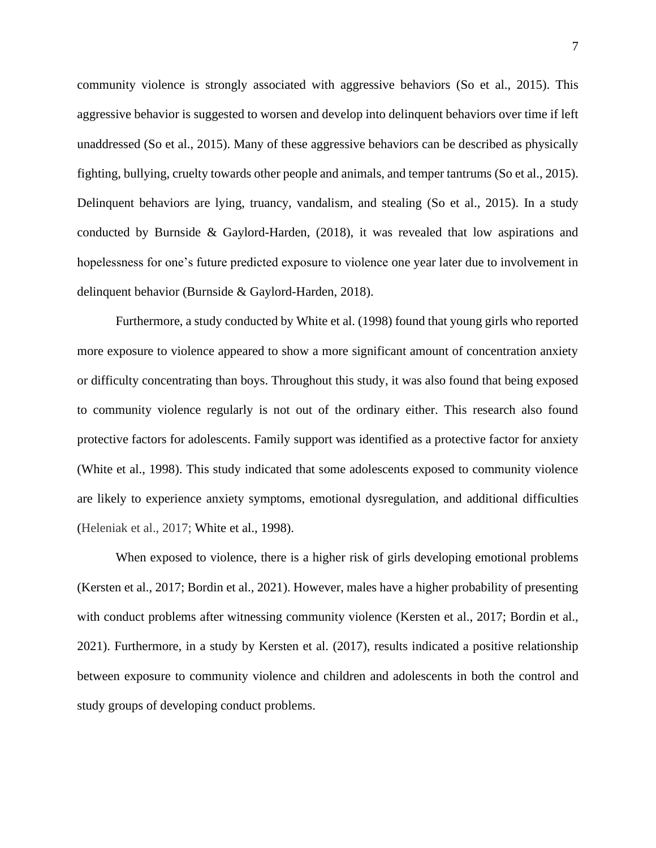community violence is strongly associated with aggressive behaviors (So et al., 2015). This aggressive behavior is suggested to worsen and develop into delinquent behaviors over time if left unaddressed (So et al., 2015). Many of these aggressive behaviors can be described as physically fighting, bullying, cruelty towards other people and animals, and temper tantrums (So et al., 2015). Delinquent behaviors are lying, truancy, vandalism, and stealing (So et al., 2015). In a study conducted by Burnside & Gaylord-Harden, (2018), it was revealed that low aspirations and hopelessness for one's future predicted exposure to violence one year later due to involvement in delinquent behavior (Burnside & Gaylord-Harden, 2018).

Furthermore, a study conducted by White et al. (1998) found that young girls who reported more exposure to violence appeared to show a more significant amount of concentration anxiety or difficulty concentrating than boys. Throughout this study, it was also found that being exposed to community violence regularly is not out of the ordinary either. This research also found protective factors for adolescents. Family support was identified as a protective factor for anxiety (White et al., 1998). This study indicated that some adolescents exposed to community violence are likely to experience anxiety symptoms, emotional dysregulation, and additional difficulties (Heleniak et al., 2017; White et al., 1998).

When exposed to violence, there is a higher risk of girls developing emotional problems (Kersten et al., 2017; Bordin et al., 2021). However, males have a higher probability of presenting with conduct problems after witnessing community violence (Kersten et al., 2017; Bordin et al., 2021). Furthermore, in a study by Kersten et al. (2017), results indicated a positive relationship between exposure to community violence and children and adolescents in both the control and study groups of developing conduct problems.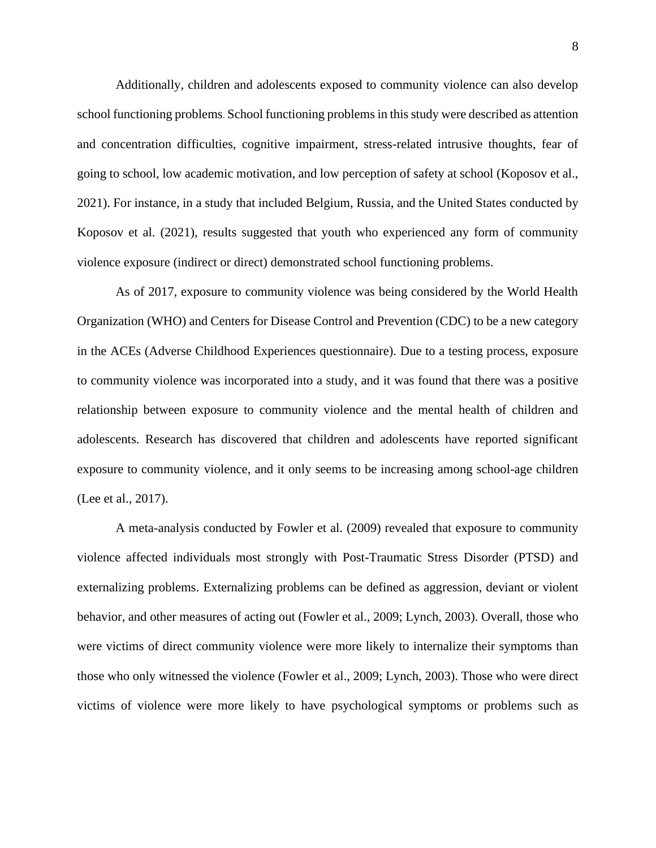Additionally, children and adolescents exposed to community violence can also develop school functioning problems. School functioning problems in this study were described as attention and concentration difficulties, cognitive impairment, stress-related intrusive thoughts, fear of going to school, low academic motivation, and low perception of safety at school (Koposov et al., 2021). For instance, in a study that included Belgium, Russia, and the United States conducted by Koposov et al. (2021), results suggested that youth who experienced any form of community violence exposure (indirect or direct) demonstrated school functioning problems.

As of 2017, exposure to community violence was being considered by the World Health Organization (WHO) and Centers for Disease Control and Prevention (CDC) to be a new category in the ACEs (Adverse Childhood Experiences questionnaire). Due to a testing process, exposure to community violence was incorporated into a study, and it was found that there was a positive relationship between exposure to community violence and the mental health of children and adolescents. Research has discovered that children and adolescents have reported significant exposure to community violence, and it only seems to be increasing among school-age children (Lee et al., 2017).

A meta-analysis conducted by Fowler et al. (2009) revealed that exposure to community violence affected individuals most strongly with Post-Traumatic Stress Disorder (PTSD) and externalizing problems. Externalizing problems can be defined as aggression, deviant or violent behavior, and other measures of acting out (Fowler et al., 2009; Lynch, 2003). Overall, those who were victims of direct community violence were more likely to internalize their symptoms than those who only witnessed the violence (Fowler et al., 2009; Lynch, 2003). Those who were direct victims of violence were more likely to have psychological symptoms or problems such as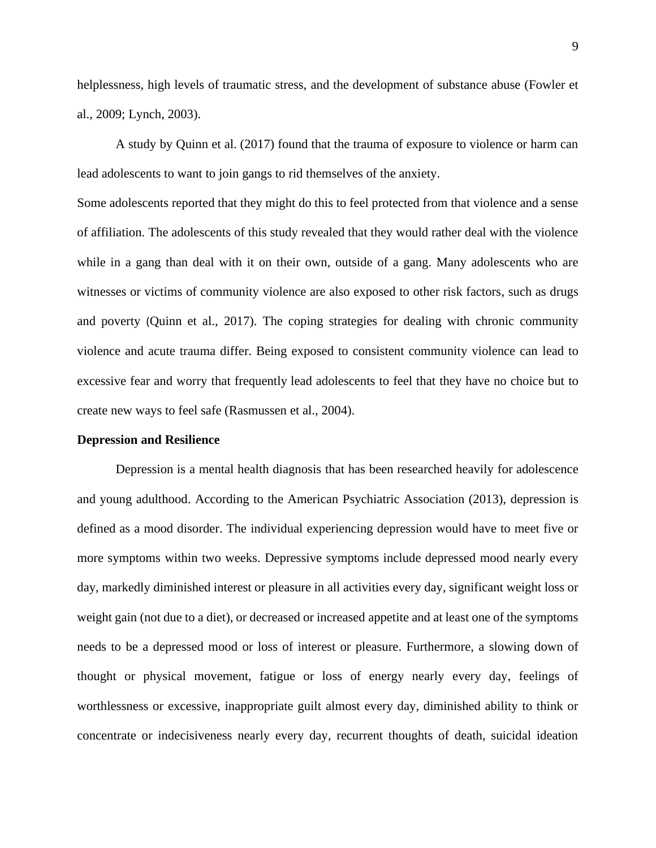helplessness, high levels of traumatic stress, and the development of substance abuse (Fowler et al., 2009; Lynch, 2003).

A study by Quinn et al. (2017) found that the trauma of exposure to violence or harm can lead adolescents to want to join gangs to rid themselves of the anxiety.

Some adolescents reported that they might do this to feel protected from that violence and a sense of affiliation. The adolescents of this study revealed that they would rather deal with the violence while in a gang than deal with it on their own, outside of a gang. Many adolescents who are witnesses or victims of community violence are also exposed to other risk factors, such as drugs and poverty (Quinn et al., 2017). The coping strategies for dealing with chronic community violence and acute trauma differ. Being exposed to consistent community violence can lead to excessive fear and worry that frequently lead adolescents to feel that they have no choice but to create new ways to feel safe (Rasmussen et al., 2004).

#### **Depression and Resilience**

Depression is a mental health diagnosis that has been researched heavily for adolescence and young adulthood. According to the American Psychiatric Association (2013), depression is defined as a mood disorder. The individual experiencing depression would have to meet five or more symptoms within two weeks. Depressive symptoms include depressed mood nearly every day, markedly diminished interest or pleasure in all activities every day, significant weight loss or weight gain (not due to a diet), or decreased or increased appetite and at least one of the symptoms needs to be a depressed mood or loss of interest or pleasure. Furthermore, a slowing down of thought or physical movement, fatigue or loss of energy nearly every day, feelings of worthlessness or excessive, inappropriate guilt almost every day, diminished ability to think or concentrate or indecisiveness nearly every day, recurrent thoughts of death, suicidal ideation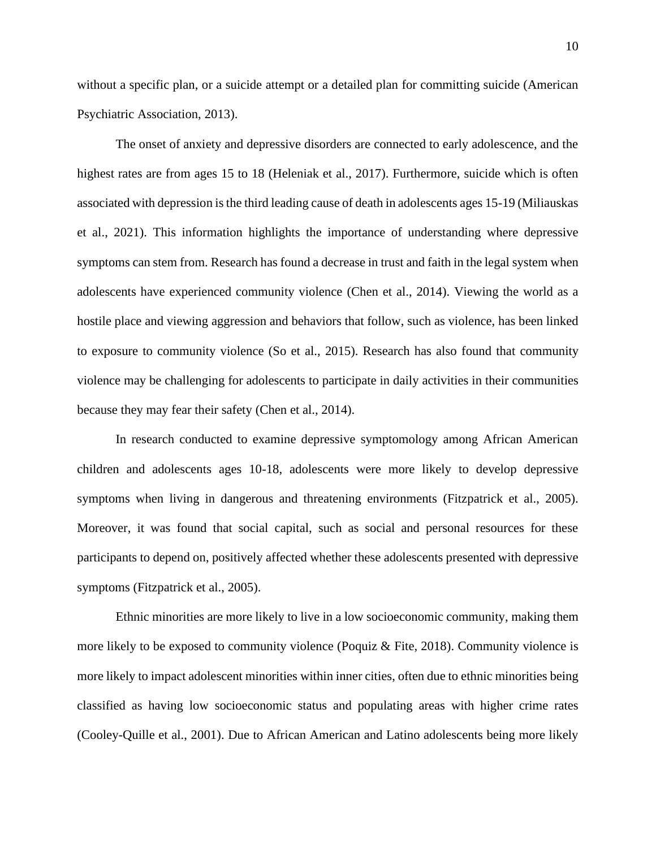without a specific plan, or a suicide attempt or a detailed plan for committing suicide (American Psychiatric Association, 2013).

The onset of anxiety and depressive disorders are connected to early adolescence, and the highest rates are from ages 15 to 18 (Heleniak et al., 2017). Furthermore, suicide which is often associated with depression is the third leading cause of death in adolescents ages 15-19 (Miliauskas et al., 2021). This information highlights the importance of understanding where depressive symptoms can stem from. Research has found a decrease in trust and faith in the legal system when adolescents have experienced community violence (Chen et al., 2014). Viewing the world as a hostile place and viewing aggression and behaviors that follow, such as violence, has been linked to exposure to community violence (So et al., 2015). Research has also found that community violence may be challenging for adolescents to participate in daily activities in their communities because they may fear their safety (Chen et al., 2014).

In research conducted to examine depressive symptomology among African American children and adolescents ages 10-18, adolescents were more likely to develop depressive symptoms when living in dangerous and threatening environments (Fitzpatrick et al., 2005). Moreover, it was found that social capital, such as social and personal resources for these participants to depend on, positively affected whether these adolescents presented with depressive symptoms (Fitzpatrick et al., 2005).

Ethnic minorities are more likely to live in a low socioeconomic community, making them more likely to be exposed to community violence (Poquiz & Fite, 2018). Community violence is more likely to impact adolescent minorities within inner cities, often due to ethnic minorities being classified as having low socioeconomic status and populating areas with higher crime rates (Cooley-Quille et al., 2001). Due to African American and Latino adolescents being more likely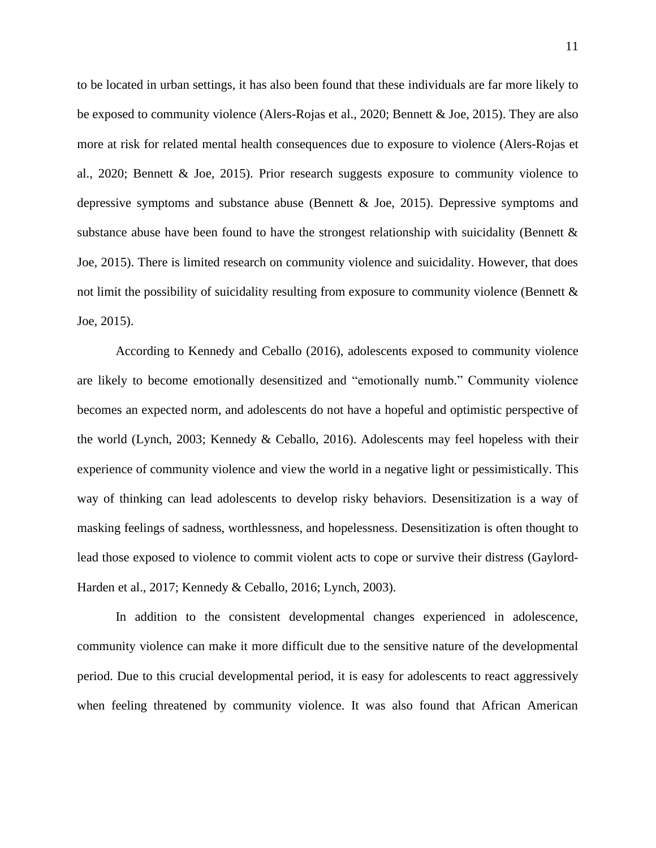to be located in urban settings, it has also been found that these individuals are far more likely to be exposed to community violence (Alers-Rojas et al., 2020; Bennett & Joe, 2015). They are also more at risk for related mental health consequences due to exposure to violence (Alers-Rojas et al., 2020; Bennett & Joe, 2015). Prior research suggests exposure to community violence to depressive symptoms and substance abuse (Bennett & Joe, 2015). Depressive symptoms and substance abuse have been found to have the strongest relationship with suicidality (Bennett  $\&$ Joe, 2015). There is limited research on community violence and suicidality. However, that does not limit the possibility of suicidality resulting from exposure to community violence (Bennett & Joe, 2015).

According to Kennedy and Ceballo (2016), adolescents exposed to community violence are likely to become emotionally desensitized and "emotionally numb." Community violence becomes an expected norm, and adolescents do not have a hopeful and optimistic perspective of the world (Lynch, 2003; Kennedy & Ceballo, 2016). Adolescents may feel hopeless with their experience of community violence and view the world in a negative light or pessimistically. This way of thinking can lead adolescents to develop risky behaviors. Desensitization is a way of masking feelings of sadness, worthlessness, and hopelessness. Desensitization is often thought to lead those exposed to violence to commit violent acts to cope or survive their distress (Gaylord-Harden et al., 2017; Kennedy & Ceballo, 2016; Lynch, 2003).

In addition to the consistent developmental changes experienced in adolescence, community violence can make it more difficult due to the sensitive nature of the developmental period. Due to this crucial developmental period, it is easy for adolescents to react aggressively when feeling threatened by community violence. It was also found that African American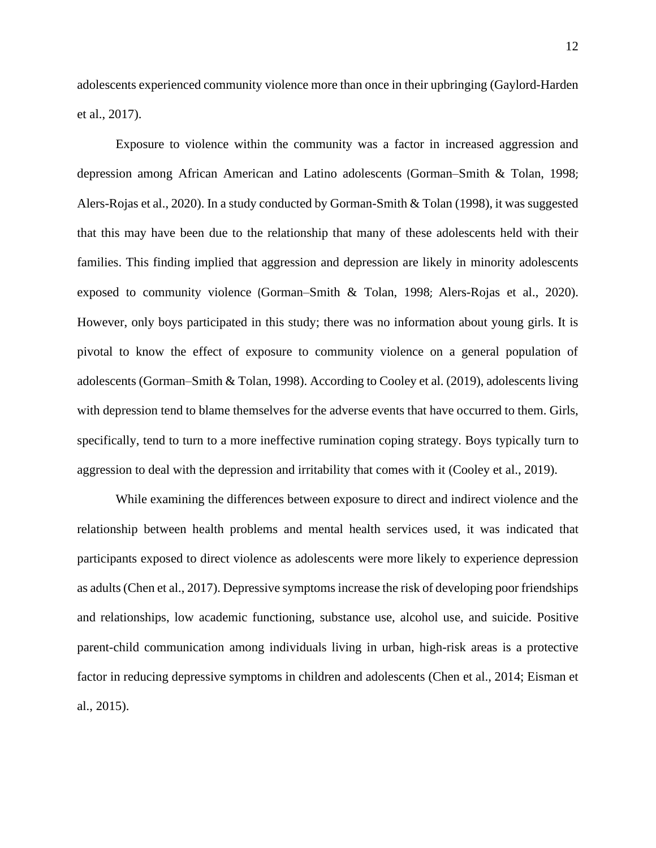adolescents experienced community violence more than once in their upbringing (Gaylord-Harden et al., 2017).

Exposure to violence within the community was a factor in increased aggression and depression among African American and Latino adolescents (Gorman–Smith & Tolan, 1998; Alers-Rojas et al., 2020). In a study conducted by Gorman-Smith & Tolan (1998), it was suggested that this may have been due to the relationship that many of these adolescents held with their families. This finding implied that aggression and depression are likely in minority adolescents exposed to community violence (Gorman–Smith & Tolan, 1998; Alers-Rojas et al., 2020). However, only boys participated in this study; there was no information about young girls. It is pivotal to know the effect of exposure to community violence on a general population of adolescents (Gorman–Smith & Tolan, 1998). According to Cooley et al. (2019), adolescents living with depression tend to blame themselves for the adverse events that have occurred to them. Girls, specifically, tend to turn to a more ineffective rumination coping strategy. Boys typically turn to aggression to deal with the depression and irritability that comes with it (Cooley et al., 2019).

While examining the differences between exposure to direct and indirect violence and the relationship between health problems and mental health services used, it was indicated that participants exposed to direct violence as adolescents were more likely to experience depression as adults(Chen et al., 2017). Depressive symptoms increase the risk of developing poor friendships and relationships, low academic functioning, substance use, alcohol use, and suicide. Positive parent-child communication among individuals living in urban, high-risk areas is a protective factor in reducing depressive symptoms in children and adolescents (Chen et al., 2014; Eisman et al., 2015).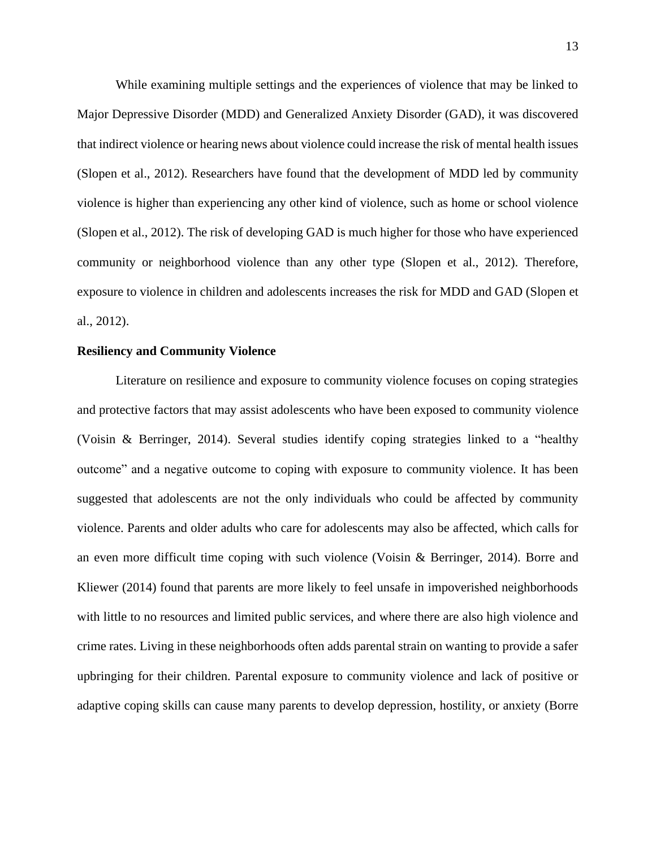While examining multiple settings and the experiences of violence that may be linked to Major Depressive Disorder (MDD) and Generalized Anxiety Disorder (GAD), it was discovered that indirect violence or hearing news about violence could increase the risk of mental health issues (Slopen et al., 2012). Researchers have found that the development of MDD led by community violence is higher than experiencing any other kind of violence, such as home or school violence (Slopen et al., 2012). The risk of developing GAD is much higher for those who have experienced community or neighborhood violence than any other type (Slopen et al., 2012). Therefore, exposure to violence in children and adolescents increases the risk for MDD and GAD (Slopen et al., 2012).

#### **Resiliency and Community Violence**

Literature on resilience and exposure to community violence focuses on coping strategies and protective factors that may assist adolescents who have been exposed to community violence (Voisin & Berringer, 2014). Several studies identify coping strategies linked to a "healthy outcome" and a negative outcome to coping with exposure to community violence. It has been suggested that adolescents are not the only individuals who could be affected by community violence. Parents and older adults who care for adolescents may also be affected, which calls for an even more difficult time coping with such violence (Voisin & Berringer, 2014). Borre and Kliewer (2014) found that parents are more likely to feel unsafe in impoverished neighborhoods with little to no resources and limited public services, and where there are also high violence and crime rates. Living in these neighborhoods often adds parental strain on wanting to provide a safer upbringing for their children. Parental exposure to community violence and lack of positive or adaptive coping skills can cause many parents to develop depression, hostility, or anxiety (Borre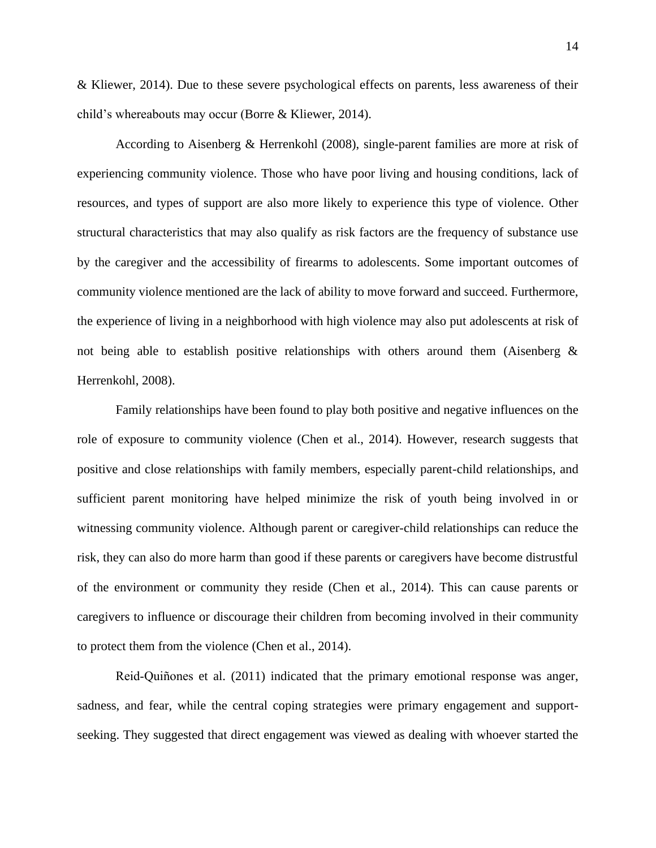& Kliewer, 2014). Due to these severe psychological effects on parents, less awareness of their child's whereabouts may occur (Borre & Kliewer, 2014).

According to Aisenberg & Herrenkohl (2008), single-parent families are more at risk of experiencing community violence. Those who have poor living and housing conditions, lack of resources, and types of support are also more likely to experience this type of violence. Other structural characteristics that may also qualify as risk factors are the frequency of substance use by the caregiver and the accessibility of firearms to adolescents. Some important outcomes of community violence mentioned are the lack of ability to move forward and succeed. Furthermore, the experience of living in a neighborhood with high violence may also put adolescents at risk of not being able to establish positive relationships with others around them (Aisenberg  $\&$ Herrenkohl, 2008).

Family relationships have been found to play both positive and negative influences on the role of exposure to community violence (Chen et al., 2014). However, research suggests that positive and close relationships with family members, especially parent-child relationships, and sufficient parent monitoring have helped minimize the risk of youth being involved in or witnessing community violence. Although parent or caregiver-child relationships can reduce the risk, they can also do more harm than good if these parents or caregivers have become distrustful of the environment or community they reside (Chen et al., 2014). This can cause parents or caregivers to influence or discourage their children from becoming involved in their community to protect them from the violence (Chen et al., 2014).

Reid‐Quiñones et al. (2011) indicated that the primary emotional response was anger, sadness, and fear, while the central coping strategies were primary engagement and supportseeking. They suggested that direct engagement was viewed as dealing with whoever started the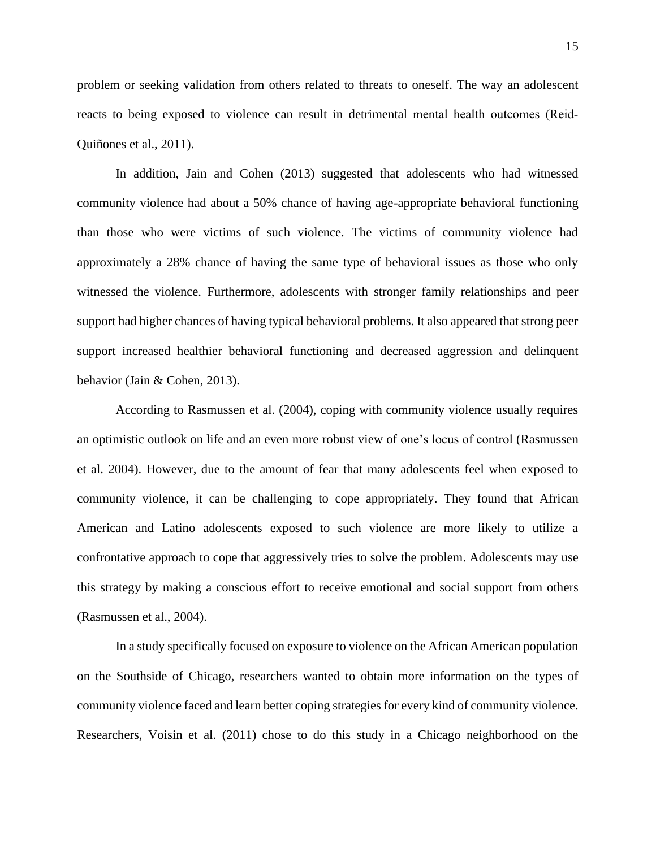problem or seeking validation from others related to threats to oneself. The way an adolescent reacts to being exposed to violence can result in detrimental mental health outcomes (Reid‐ Quiñones et al., 2011).

In addition, Jain and Cohen (2013) suggested that adolescents who had witnessed community violence had about a 50% chance of having age-appropriate behavioral functioning than those who were victims of such violence. The victims of community violence had approximately a 28% chance of having the same type of behavioral issues as those who only witnessed the violence. Furthermore, adolescents with stronger family relationships and peer support had higher chances of having typical behavioral problems. It also appeared that strong peer support increased healthier behavioral functioning and decreased aggression and delinquent behavior (Jain & Cohen, 2013).

According to Rasmussen et al. (2004), coping with community violence usually requires an optimistic outlook on life and an even more robust view of one's locus of control (Rasmussen et al. 2004). However, due to the amount of fear that many adolescents feel when exposed to community violence, it can be challenging to cope appropriately. They found that African American and Latino adolescents exposed to such violence are more likely to utilize a confrontative approach to cope that aggressively tries to solve the problem. Adolescents may use this strategy by making a conscious effort to receive emotional and social support from others (Rasmussen et al., 2004).

In a study specifically focused on exposure to violence on the African American population on the Southside of Chicago, researchers wanted to obtain more information on the types of community violence faced and learn better coping strategies for every kind of community violence. Researchers, Voisin et al. (2011) chose to do this study in a Chicago neighborhood on the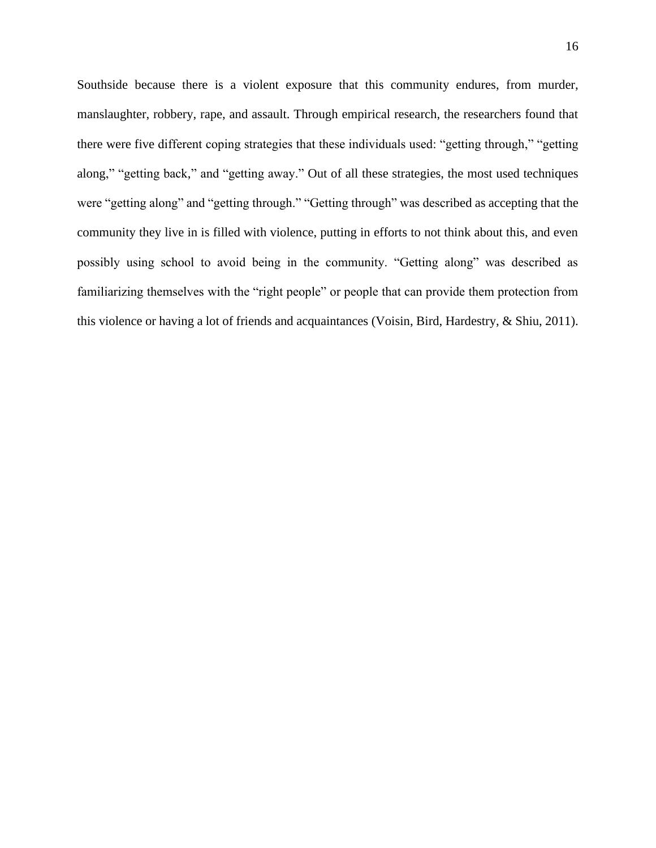Southside because there is a violent exposure that this community endures, from murder, manslaughter, robbery, rape, and assault. Through empirical research, the researchers found that there were five different coping strategies that these individuals used: "getting through," "getting along," "getting back," and "getting away." Out of all these strategies, the most used techniques were "getting along" and "getting through." "Getting through" was described as accepting that the community they live in is filled with violence, putting in efforts to not think about this, and even possibly using school to avoid being in the community. "Getting along" was described as familiarizing themselves with the "right people" or people that can provide them protection from this violence or having a lot of friends and acquaintances (Voisin, Bird, Hardestry, & Shiu, 2011).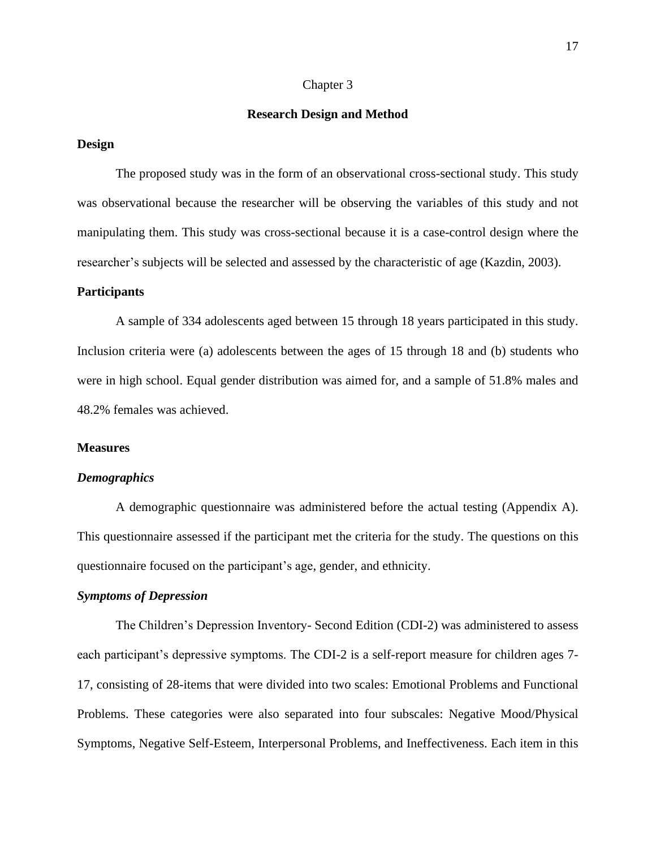#### Chapter 3

#### **Research Design and Method**

#### **Design**

The proposed study was in the form of an observational cross-sectional study. This study was observational because the researcher will be observing the variables of this study and not manipulating them. This study was cross-sectional because it is a case-control design where the researcher's subjects will be selected and assessed by the characteristic of age (Kazdin, 2003).

#### **Participants**

A sample of 334 adolescents aged between 15 through 18 years participated in this study. Inclusion criteria were (a) adolescents between the ages of 15 through 18 and (b) students who were in high school. Equal gender distribution was aimed for, and a sample of 51.8% males and 48.2% females was achieved.

#### **Measures**

#### *Demographics*

A demographic questionnaire was administered before the actual testing (Appendix A). This questionnaire assessed if the participant met the criteria for the study. The questions on this questionnaire focused on the participant's age, gender, and ethnicity.

## *Symptoms of Depression*

The Children's Depression Inventory- Second Edition (CDI-2) was administered to assess each participant's depressive symptoms. The CDI-2 is a self-report measure for children ages 7- 17, consisting of 28-items that were divided into two scales: Emotional Problems and Functional Problems. These categories were also separated into four subscales: Negative Mood/Physical Symptoms, Negative Self-Esteem, Interpersonal Problems, and Ineffectiveness. Each item in this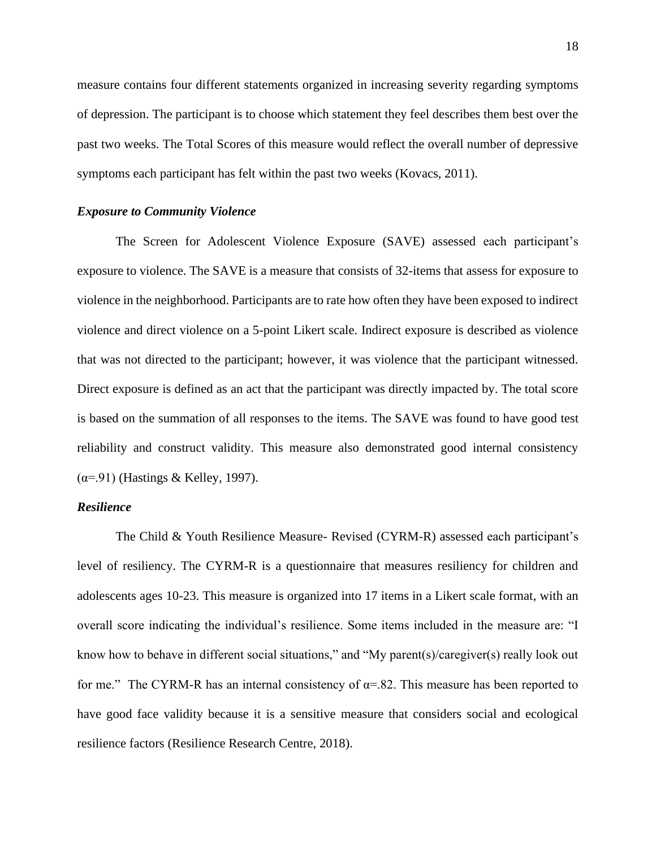measure contains four different statements organized in increasing severity regarding symptoms of depression. The participant is to choose which statement they feel describes them best over the past two weeks. The Total Scores of this measure would reflect the overall number of depressive symptoms each participant has felt within the past two weeks (Kovacs, 2011).

#### *Exposure to Community Violence*

The Screen for Adolescent Violence Exposure (SAVE) assessed each participant's exposure to violence. The SAVE is a measure that consists of 32-items that assess for exposure to violence in the neighborhood. Participants are to rate how often they have been exposed to indirect violence and direct violence on a 5-point Likert scale. Indirect exposure is described as violence that was not directed to the participant; however, it was violence that the participant witnessed. Direct exposure is defined as an act that the participant was directly impacted by. The total score is based on the summation of all responses to the items. The SAVE was found to have good test reliability and construct validity. This measure also demonstrated good internal consistency  $(\alpha = .91)$  (Hastings & Kelley, 1997).

## *Resilience*

The Child & Youth Resilience Measure- Revised (CYRM-R) assessed each participant's level of resiliency. The CYRM-R is a questionnaire that measures resiliency for children and adolescents ages 10-23. This measure is organized into 17 items in a Likert scale format, with an overall score indicating the individual's resilience. Some items included in the measure are: "I know how to behave in different social situations," and "My parent(s)/caregiver(s) really look out for me." The CYRM-R has an internal consistency of  $\alpha$ =.82. This measure has been reported to have good face validity because it is a sensitive measure that considers social and ecological resilience factors (Resilience Research Centre, 2018).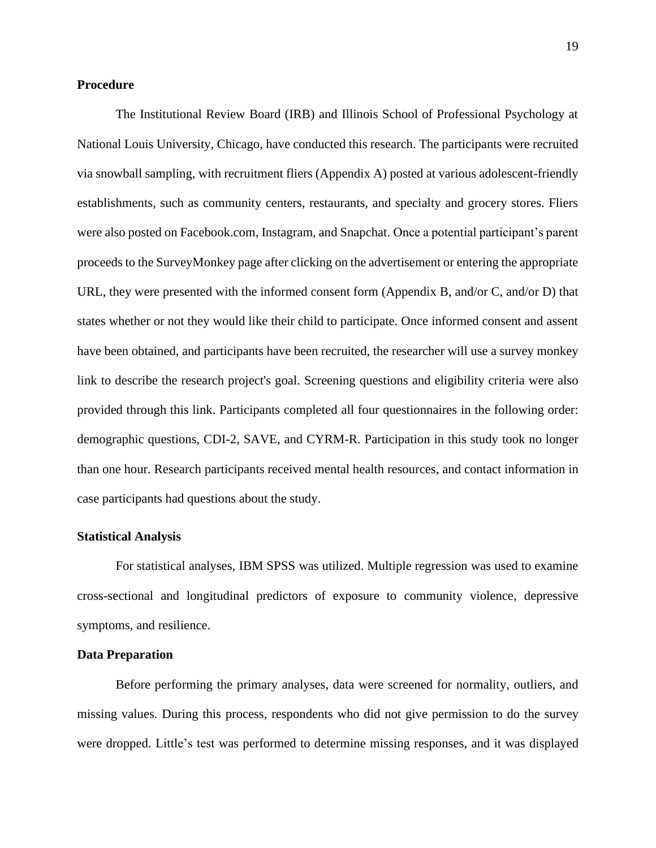#### **Procedure**

The Institutional Review Board (IRB) and Illinois School of Professional Psychology at National Louis University, Chicago, have conducted this research. The participants were recruited via snowball sampling, with recruitment fliers (Appendix A) posted at various adolescent-friendly establishments, such as community centers, restaurants, and specialty and grocery stores. Fliers were also posted on Facebook.com, Instagram, and Snapchat. Once a potential participant's parent proceeds to the SurveyMonkey page after clicking on the advertisement or entering the appropriate URL, they were presented with the informed consent form (Appendix B, and/or C, and/or D) that states whether or not they would like their child to participate. Once informed consent and assent have been obtained, and participants have been recruited, the researcher will use a survey monkey link to describe the research project's goal. Screening questions and eligibility criteria were also provided through this link. Participants completed all four questionnaires in the following order: demographic questions, CDI-2, SAVE, and CYRM-R. Participation in this study took no longer than one hour. Research participants received mental health resources, and contact information in case participants had questions about the study.

#### **Statistical Analysis**

For statistical analyses, IBM SPSS was utilized. Multiple regression was used to examine cross-sectional and longitudinal predictors of exposure to community violence, depressive symptoms, and resilience.

#### **Data Preparation**

Before performing the primary analyses, data were screened for normality, outliers, and missing values. During this process, respondents who did not give permission to do the survey were dropped. Little's test was performed to determine missing responses, and it was displayed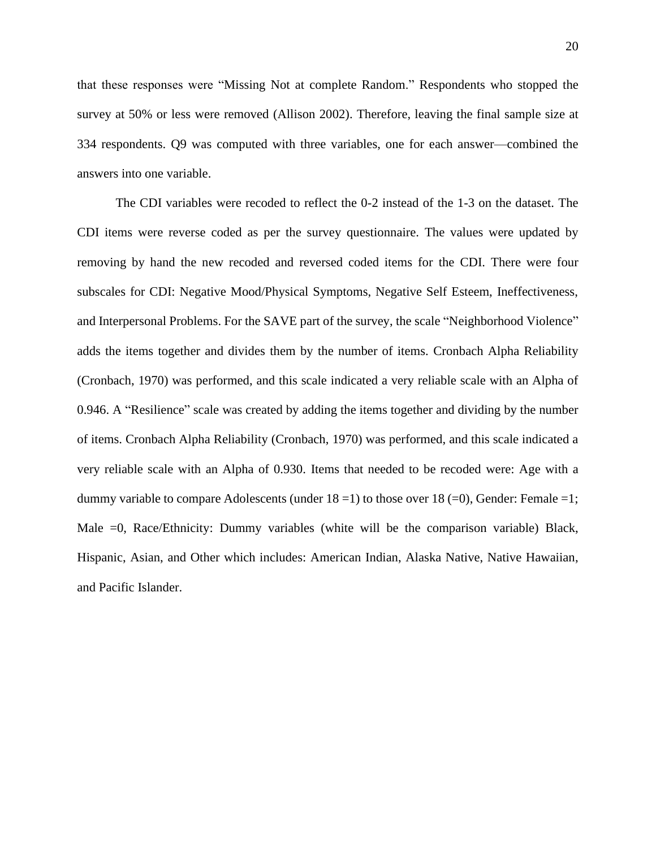that these responses were "Missing Not at complete Random." Respondents who stopped the survey at 50% or less were removed (Allison 2002). Therefore, leaving the final sample size at 334 respondents. Q9 was computed with three variables, one for each answer—combined the answers into one variable.

The CDI variables were recoded to reflect the 0-2 instead of the 1-3 on the dataset. The CDI items were reverse coded as per the survey questionnaire. The values were updated by removing by hand the new recoded and reversed coded items for the CDI. There were four subscales for CDI: Negative Mood/Physical Symptoms, Negative Self Esteem, Ineffectiveness, and Interpersonal Problems. For the SAVE part of the survey, the scale "Neighborhood Violence" adds the items together and divides them by the number of items. Cronbach Alpha Reliability (Cronbach, 1970) was performed, and this scale indicated a very reliable scale with an Alpha of 0.946. A "Resilience" scale was created by adding the items together and dividing by the number of items. Cronbach Alpha Reliability (Cronbach, 1970) was performed, and this scale indicated a very reliable scale with an Alpha of 0.930. Items that needed to be recoded were: Age with a dummy variable to compare Adolescents (under  $18 = 1$ ) to those over  $18 (=0)$ , Gender: Female =1; Male  $=0$ , Race/Ethnicity: Dummy variables (white will be the comparison variable) Black, Hispanic, Asian, and Other which includes: American Indian, Alaska Native, Native Hawaiian, and Pacific Islander.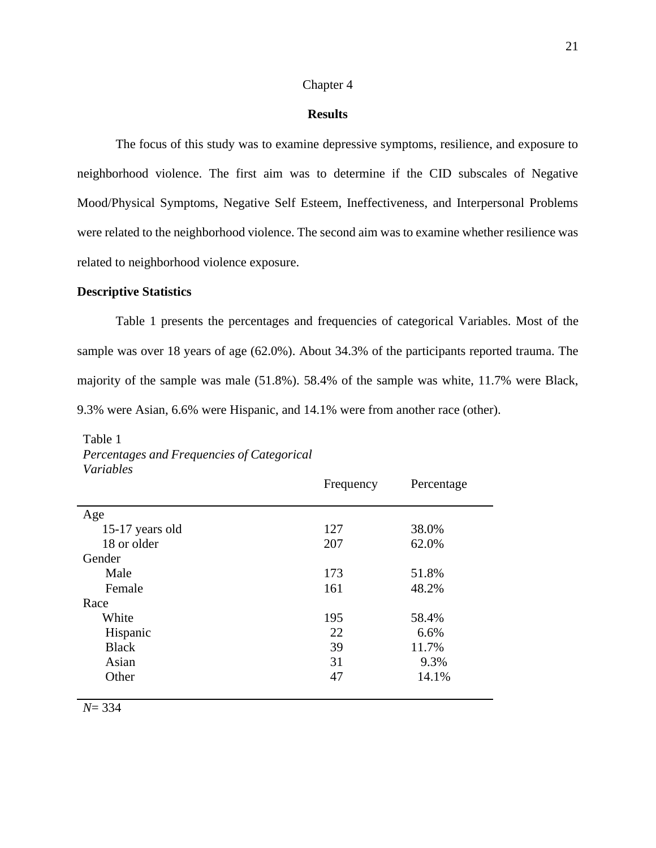#### Chapter 4

#### **Results**

The focus of this study was to examine depressive symptoms, resilience, and exposure to neighborhood violence. The first aim was to determine if the CID subscales of Negative Mood/Physical Symptoms, Negative Self Esteem, Ineffectiveness, and Interpersonal Problems were related to the neighborhood violence. The second aim was to examine whether resilience was related to neighborhood violence exposure.

#### **Descriptive Statistics**

Table 1 presents the percentages and frequencies of categorical Variables. Most of the sample was over 18 years of age (62.0%). About 34.3% of the participants reported trauma. The majority of the sample was male (51.8%). 58.4% of the sample was white, 11.7% were Black, 9.3% were Asian, 6.6% were Hispanic, and 14.1% were from another race (other).

| r u <i>i wu</i> vics | Frequency | Percentage |
|----------------------|-----------|------------|
| Age                  |           |            |
| 15-17 years old      | 127       | 38.0%      |
| 18 or older          | 207       | 62.0%      |
| Gender               |           |            |
| Male                 | 173       | 51.8%      |
| Female               | 161       | 48.2%      |
| Race                 |           |            |
| White                | 195       | 58.4%      |
| Hispanic             | 22        | 6.6%       |
| <b>Black</b>         | 39        | 11.7%      |
| Asian                | 31        | 9.3%       |
| Other                | 47        | 14.1%      |
|                      |           |            |

## Table 1 *Percentages and Frequencies of Categorical Variables*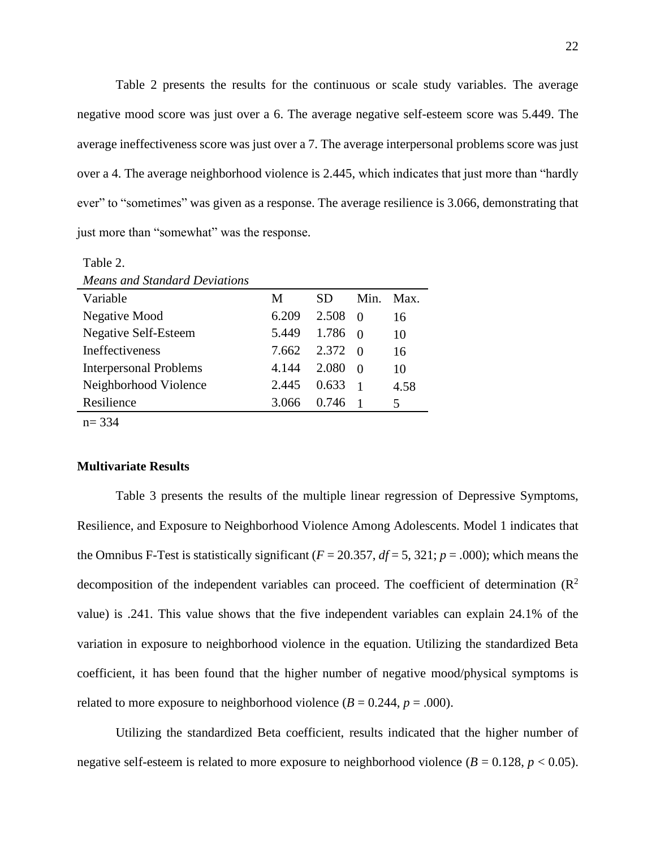Table 2 presents the results for the continuous or scale study variables. The average negative mood score was just over a 6. The average negative self-esteem score was 5.449. The average ineffectiveness score was just over a 7. The average interpersonal problems score was just over a 4. The average neighborhood violence is 2.445, which indicates that just more than "hardly ever" to "sometimes" was given as a response. The average resilience is 3.066, demonstrating that just more than "somewhat" was the response.

| <b>Means and Standard Deviations</b> |       |       |          |      |
|--------------------------------------|-------|-------|----------|------|
| Variable                             | M     | SD.   | Min.     | Max. |
| Negative Mood                        | 6.209 | 2.508 | $\Omega$ | 16   |
| <b>Negative Self-Esteem</b>          | 5.449 | 1.786 | ∩        | 10   |
| <b>Ineffectiveness</b>               | 7.662 | 2.372 | $\Omega$ | 16   |
| <b>Interpersonal Problems</b>        | 4.144 | 2.080 | $\Omega$ | 10   |
| Neighborhood Violence                | 2.445 | 0.633 |          | 4.58 |
| Resilience                           | 3.066 | 0.746 |          | 5    |
| $n = 334$                            |       |       |          |      |

#### **Multivariate Results**

Table 2.

Table 3 presents the results of the multiple linear regression of Depressive Symptoms, Resilience, and Exposure to Neighborhood Violence Among Adolescents. Model 1 indicates that the Omnibus F-Test is statistically significant ( $F = 20.357$ ,  $df = 5$ , 321;  $p = .000$ ); which means the decomposition of the independent variables can proceed. The coefficient of determination  $(R^2)$ value) is .241. This value shows that the five independent variables can explain 24.1% of the variation in exposure to neighborhood violence in the equation. Utilizing the standardized Beta coefficient, it has been found that the higher number of negative mood/physical symptoms is related to more exposure to neighborhood violence  $(B = 0.244, p = .000)$ .

Utilizing the standardized Beta coefficient, results indicated that the higher number of negative self-esteem is related to more exposure to neighborhood violence  $(B = 0.128, p < 0.05)$ .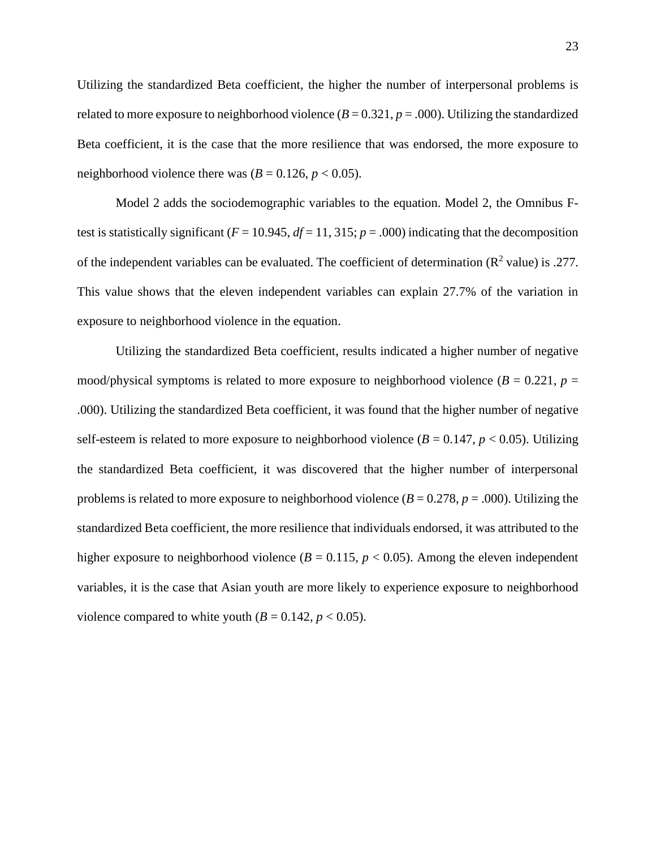Utilizing the standardized Beta coefficient, the higher the number of interpersonal problems is related to more exposure to neighborhood violence  $(B = 0.321, p = .000)$ . Utilizing the standardized Beta coefficient, it is the case that the more resilience that was endorsed, the more exposure to neighborhood violence there was  $(B = 0.126, p < 0.05)$ .

Model 2 adds the sociodemographic variables to the equation. Model 2, the Omnibus Ftest is statistically significant ( $F = 10.945$ ,  $df = 11$ , 315;  $p = .000$ ) indicating that the decomposition of the independent variables can be evaluated. The coefficient of determination ( $\mathbb{R}^2$  value) is .277. This value shows that the eleven independent variables can explain 27.7% of the variation in exposure to neighborhood violence in the equation.

Utilizing the standardized Beta coefficient, results indicated a higher number of negative mood/physical symptoms is related to more exposure to neighborhood violence  $(B = 0.221, p = 0.221)$ .000). Utilizing the standardized Beta coefficient, it was found that the higher number of negative self-esteem is related to more exposure to neighborhood violence  $(B = 0.147, p < 0.05)$ . Utilizing the standardized Beta coefficient, it was discovered that the higher number of interpersonal problems is related to more exposure to neighborhood violence (*B* = 0.278, *p* = .000). Utilizing the standardized Beta coefficient, the more resilience that individuals endorsed, it was attributed to the higher exposure to neighborhood violence ( $B = 0.115$ ,  $p < 0.05$ ). Among the eleven independent variables, it is the case that Asian youth are more likely to experience exposure to neighborhood violence compared to white youth  $(B = 0.142, p < 0.05)$ .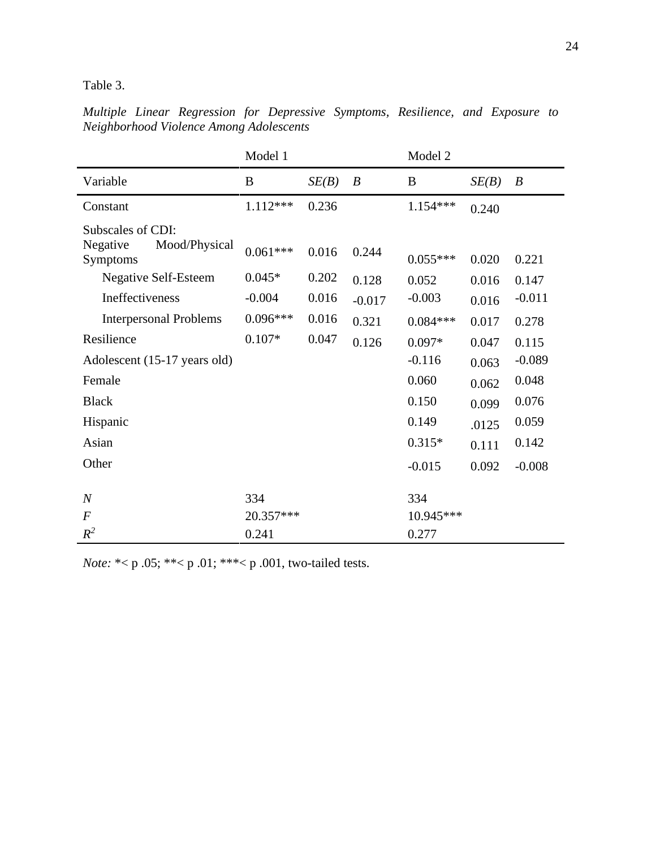Table 3.

*Multiple Linear Regression for Depressive Symptoms, Resilience, and Exposure to Neighborhood Violence Among Adolescents*

|                                                            | Model 1    |       |                  | Model 2    |       |                  |
|------------------------------------------------------------|------------|-------|------------------|------------|-------|------------------|
| Variable                                                   | B          | SE(B) | $\boldsymbol{B}$ | B          | SE(B) | $\boldsymbol{B}$ |
| Constant                                                   | $1.112***$ | 0.236 |                  | $1.154***$ | 0.240 |                  |
| Subscales of CDI:<br>Negative<br>Mood/Physical<br>Symptoms | $0.061***$ | 0.016 | 0.244            | $0.055***$ | 0.020 | 0.221            |
| <b>Negative Self-Esteem</b>                                | $0.045*$   | 0.202 | 0.128            | 0.052      | 0.016 | 0.147            |
| Ineffectiveness                                            | $-0.004$   | 0.016 | $-0.017$         | $-0.003$   | 0.016 | $-0.011$         |
| <b>Interpersonal Problems</b>                              | $0.096***$ | 0.016 | 0.321            | $0.084***$ | 0.017 | 0.278            |
| Resilience                                                 | $0.107*$   | 0.047 | 0.126            | $0.097*$   | 0.047 | 0.115            |
| Adolescent (15-17 years old)                               |            |       |                  | $-0.116$   | 0.063 | $-0.089$         |
| Female                                                     |            |       |                  | 0.060      | 0.062 | 0.048            |
| <b>Black</b>                                               |            |       |                  | 0.150      | 0.099 | 0.076            |
| Hispanic                                                   |            |       |                  | 0.149      | .0125 | 0.059            |
| Asian                                                      |            |       |                  | $0.315*$   | 0.111 | 0.142            |
| Other                                                      |            |       |                  | $-0.015$   | 0.092 | $-0.008$         |
|                                                            |            |       |                  |            |       |                  |
| $\boldsymbol{N}$                                           | 334        |       |                  | 334        |       |                  |
| $\boldsymbol{F}$                                           | 20.357***  |       |                  | 10.945***  |       |                  |
| $R^2$                                                      | 0.241      |       |                  | 0.277      |       |                  |

*Note:* \*< p .05; \*\*< p .01; \*\*\*< p .001, two-tailed tests.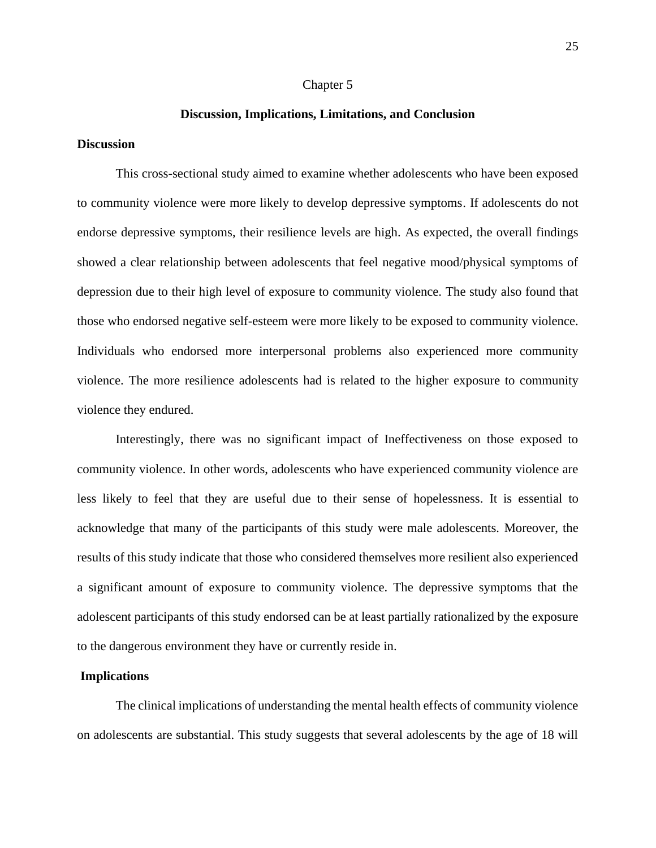#### Chapter 5

#### **Discussion, Implications, Limitations, and Conclusion**

#### **Discussion**

This cross-sectional study aimed to examine whether adolescents who have been exposed to community violence were more likely to develop depressive symptoms. If adolescents do not endorse depressive symptoms, their resilience levels are high. As expected, the overall findings showed a clear relationship between adolescents that feel negative mood/physical symptoms of depression due to their high level of exposure to community violence. The study also found that those who endorsed negative self-esteem were more likely to be exposed to community violence. Individuals who endorsed more interpersonal problems also experienced more community violence. The more resilience adolescents had is related to the higher exposure to community violence they endured.

Interestingly, there was no significant impact of Ineffectiveness on those exposed to community violence. In other words, adolescents who have experienced community violence are less likely to feel that they are useful due to their sense of hopelessness. It is essential to acknowledge that many of the participants of this study were male adolescents. Moreover, the results of this study indicate that those who considered themselves more resilient also experienced a significant amount of exposure to community violence. The depressive symptoms that the adolescent participants of this study endorsed can be at least partially rationalized by the exposure to the dangerous environment they have or currently reside in.

#### **Implications**

The clinical implications of understanding the mental health effects of community violence on adolescents are substantial. This study suggests that several adolescents by the age of 18 will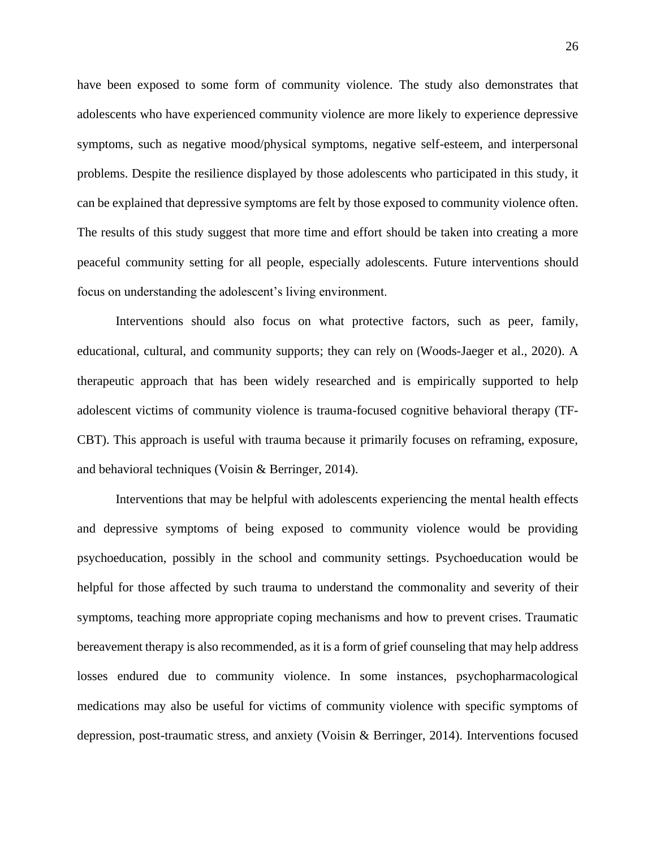have been exposed to some form of community violence. The study also demonstrates that adolescents who have experienced community violence are more likely to experience depressive symptoms, such as negative mood/physical symptoms, negative self-esteem, and interpersonal problems. Despite the resilience displayed by those adolescents who participated in this study, it can be explained that depressive symptoms are felt by those exposed to community violence often. The results of this study suggest that more time and effort should be taken into creating a more peaceful community setting for all people, especially adolescents. Future interventions should focus on understanding the adolescent's living environment.

Interventions should also focus on what protective factors, such as peer, family, educational, cultural, and community supports; they can rely on (Woods-Jaeger et al., 2020). A therapeutic approach that has been widely researched and is empirically supported to help adolescent victims of community violence is trauma-focused cognitive behavioral therapy (TF-CBT). This approach is useful with trauma because it primarily focuses on reframing, exposure, and behavioral techniques (Voisin & Berringer, 2014).

Interventions that may be helpful with adolescents experiencing the mental health effects and depressive symptoms of being exposed to community violence would be providing psychoeducation, possibly in the school and community settings. Psychoeducation would be helpful for those affected by such trauma to understand the commonality and severity of their symptoms, teaching more appropriate coping mechanisms and how to prevent crises. Traumatic bereavement therapy is also recommended, as it is a form of grief counseling that may help address losses endured due to community violence. In some instances, psychopharmacological medications may also be useful for victims of community violence with specific symptoms of depression, post-traumatic stress, and anxiety (Voisin & Berringer, 2014). Interventions focused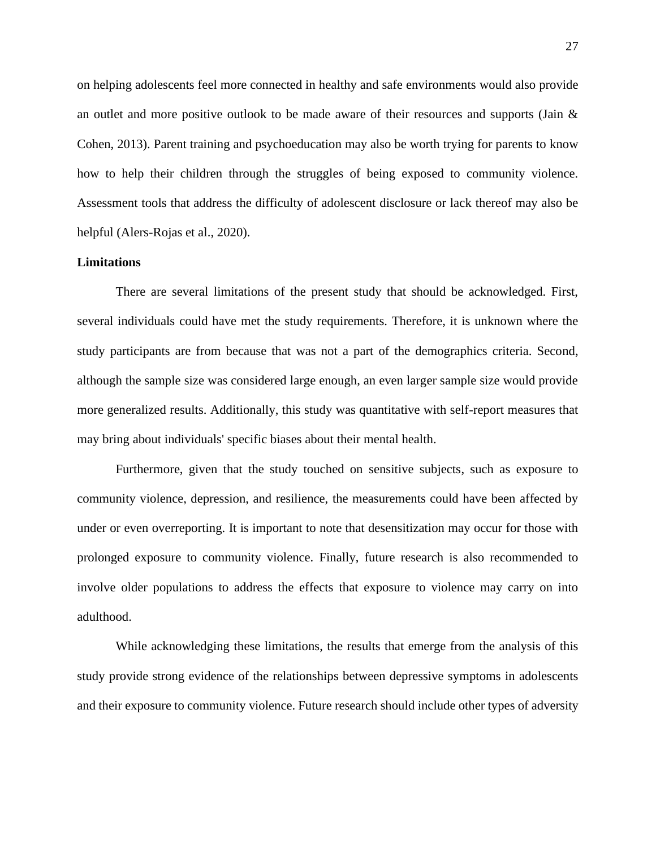on helping adolescents feel more connected in healthy and safe environments would also provide an outlet and more positive outlook to be made aware of their resources and supports (Jain  $\&$ Cohen, 2013). Parent training and psychoeducation may also be worth trying for parents to know how to help their children through the struggles of being exposed to community violence. Assessment tools that address the difficulty of adolescent disclosure or lack thereof may also be helpful (Alers-Rojas et al., 2020).

## **Limitations**

There are several limitations of the present study that should be acknowledged. First, several individuals could have met the study requirements. Therefore, it is unknown where the study participants are from because that was not a part of the demographics criteria. Second, although the sample size was considered large enough, an even larger sample size would provide more generalized results. Additionally, this study was quantitative with self-report measures that may bring about individuals' specific biases about their mental health.

Furthermore, given that the study touched on sensitive subjects, such as exposure to community violence, depression, and resilience, the measurements could have been affected by under or even overreporting. It is important to note that desensitization may occur for those with prolonged exposure to community violence. Finally, future research is also recommended to involve older populations to address the effects that exposure to violence may carry on into adulthood.

While acknowledging these limitations, the results that emerge from the analysis of this study provide strong evidence of the relationships between depressive symptoms in adolescents and their exposure to community violence. Future research should include other types of adversity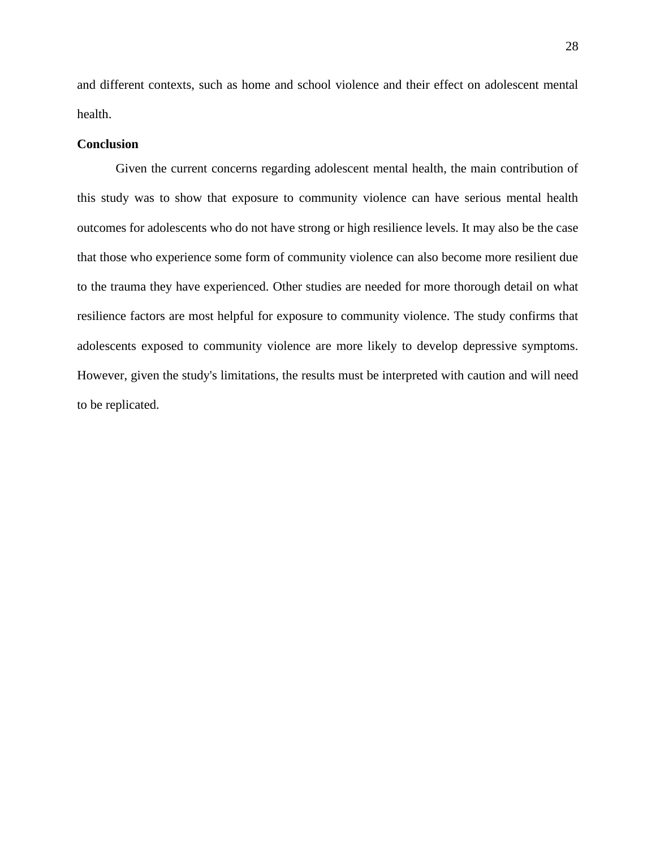and different contexts, such as home and school violence and their effect on adolescent mental health.

#### **Conclusion**

Given the current concerns regarding adolescent mental health, the main contribution of this study was to show that exposure to community violence can have serious mental health outcomes for adolescents who do not have strong or high resilience levels. It may also be the case that those who experience some form of community violence can also become more resilient due to the trauma they have experienced. Other studies are needed for more thorough detail on what resilience factors are most helpful for exposure to community violence. The study confirms that adolescents exposed to community violence are more likely to develop depressive symptoms. However, given the study's limitations, the results must be interpreted with caution and will need to be replicated.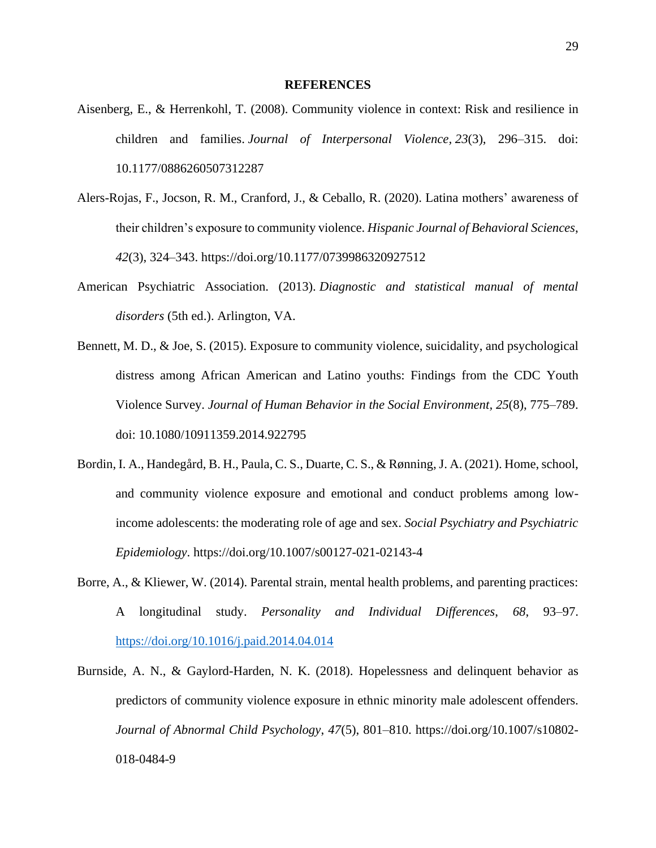#### **REFERENCES**

- Aisenberg, E., & Herrenkohl, T. (2008). Community violence in context: Risk and resilience in children and families. *Journal of Interpersonal Violence, 23*(3), 296–315. doi: 10.1177/0886260507312287
- Alers-Rojas, F., Jocson, R. M., Cranford, J., & Ceballo, R. (2020). Latina mothers' awareness of their children's exposure to community violence. *Hispanic Journal of Behavioral Sciences*, *42*(3), 324–343. https://doi.org/10.1177/0739986320927512
- American Psychiatric Association. (2013). *Diagnostic and statistical manual of mental disorders* (5th ed.). Arlington, VA.
- Bennett, M. D., & Joe, S. (2015). Exposure to community violence, suicidality, and psychological distress among African American and Latino youths: Findings from the CDC Youth Violence Survey. *Journal of Human Behavior in the Social Environment, 25*(8), 775–789. doi: 10.1080/10911359.2014.922795
- Bordin, I. A., Handegård, B. H., Paula, C. S., Duarte, C. S., & Rønning, J. A. (2021). Home, school, and community violence exposure and emotional and conduct problems among lowincome adolescents: the moderating role of age and sex. *Social Psychiatry and Psychiatric Epidemiology*. https://doi.org/10.1007/s00127-021-02143-4
- Borre, A., & Kliewer, W. (2014). Parental strain, mental health problems, and parenting practices: A longitudinal study. *Personality and Individual Differences*, *68*, 93–97. https://doi.org/10.1016/j.paid.2014.04.014
- Burnside, A. N., & Gaylord-Harden, N. K. (2018). Hopelessness and delinquent behavior as predictors of community violence exposure in ethnic minority male adolescent offenders. *Journal of Abnormal Child Psychology*, *47*(5), 801–810. https://doi.org/10.1007/s10802- 018-0484-9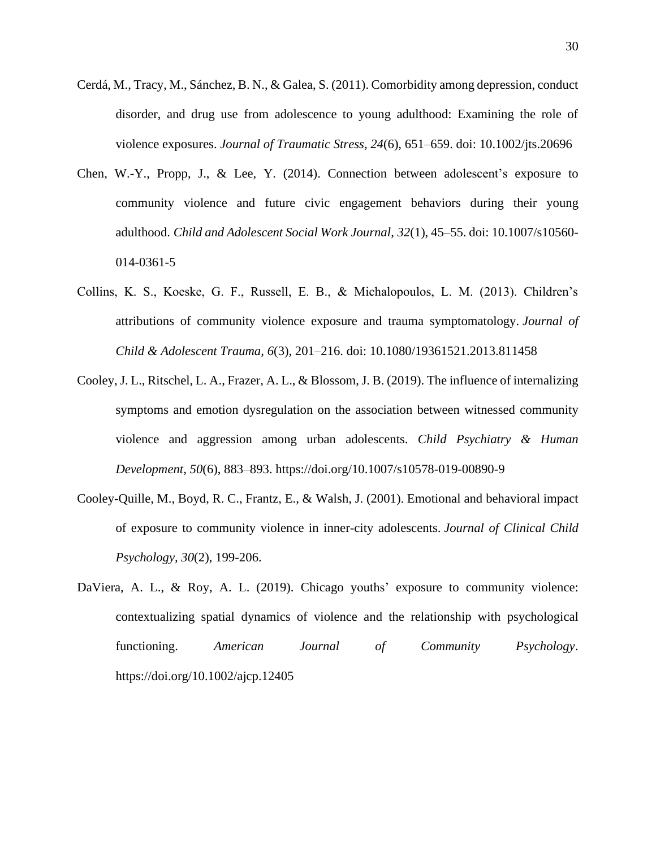- Cerdá, M., Tracy, M., Sánchez, B. N., & Galea, S. (2011). Comorbidity among depression, conduct disorder, and drug use from adolescence to young adulthood: Examining the role of violence exposures. *Journal of Traumatic Stress, 24*(6), 651–659. doi: 10.1002/jts.20696
- Chen, W.-Y., Propp, J., & Lee, Y. (2014). Connection between adolescent's exposure to community violence and future civic engagement behaviors during their young adulthood. *Child and Adolescent Social Work Journal, 32*(1), 45–55. doi: 10.1007/s10560- 014-0361-5
- Collins, K. S., Koeske, G. F., Russell, E. B., & Michalopoulos, L. M. (2013). Children's attributions of community violence exposure and trauma symptomatology. *Journal of Child & Adolescent Trauma, 6*(3), 201–216. doi: 10.1080/19361521.2013.811458
- Cooley, J. L., Ritschel, L. A., Frazer, A. L., & Blossom, J. B. (2019). The influence of internalizing symptoms and emotion dysregulation on the association between witnessed community violence and aggression among urban adolescents. *Child Psychiatry & Human Development*, *50*(6), 883–893. https://doi.org/10.1007/s10578-019-00890-9
- Cooley-Quille, M., Boyd, R. C., Frantz, E., & Walsh, J. (2001). Emotional and behavioral impact of exposure to community violence in inner-city adolescents. *Journal of Clinical Child Psychology, 30*(2), 199-206.
- DaViera, A. L., & Roy, A. L. (2019). Chicago youths' exposure to community violence: contextualizing spatial dynamics of violence and the relationship with psychological functioning. *American Journal of Community Psychology*. https://doi.org/10.1002/ajcp.12405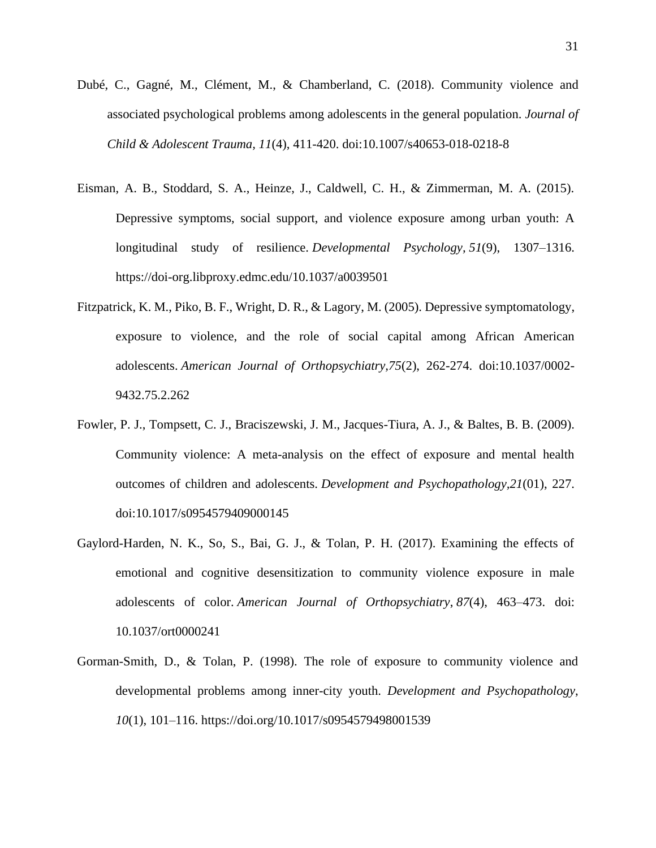- Dubé, C., Gagné, M., Clément, M., & Chamberland, C. (2018). Community violence and associated psychological problems among adolescents in the general population. *Journal of Child & Adolescent Trauma, 11*(4), 411-420. doi:10.1007/s40653-018-0218-8
- Eisman, A. B., Stoddard, S. A., Heinze, J., Caldwell, C. H., & Zimmerman, M. A. (2015). Depressive symptoms, social support, and violence exposure among urban youth: A longitudinal study of resilience. *Developmental Psychology, 51*(9), 1307–1316. https://doi-org.libproxy.edmc.edu/10.1037/a0039501
- Fitzpatrick, K. M., Piko, B. F., Wright, D. R., & Lagory, M. (2005). Depressive symptomatology, exposure to violence, and the role of social capital among African American adolescents. *American Journal of Orthopsychiatry,75*(2), 262-274. doi:10.1037/0002- 9432.75.2.262
- Fowler, P. J., Tompsett, C. J., Braciszewski, J. M., Jacques-Tiura, A. J., & Baltes, B. B. (2009). Community violence: A meta-analysis on the effect of exposure and mental health outcomes of children and adolescents. *Development and Psychopathology,21*(01), 227. doi:10.1017/s0954579409000145
- Gaylord-Harden, N. K., So, S., Bai, G. J., & Tolan, P. H. (2017). Examining the effects of emotional and cognitive desensitization to community violence exposure in male adolescents of color. *American Journal of Orthopsychiatry*, *87*(4), 463–473. doi: 10.1037/ort0000241
- Gorman-Smith, D., & Tolan, P. (1998). The role of exposure to community violence and developmental problems among inner-city youth. *Development and Psychopathology*, *10*(1), 101–116. https://doi.org/10.1017/s0954579498001539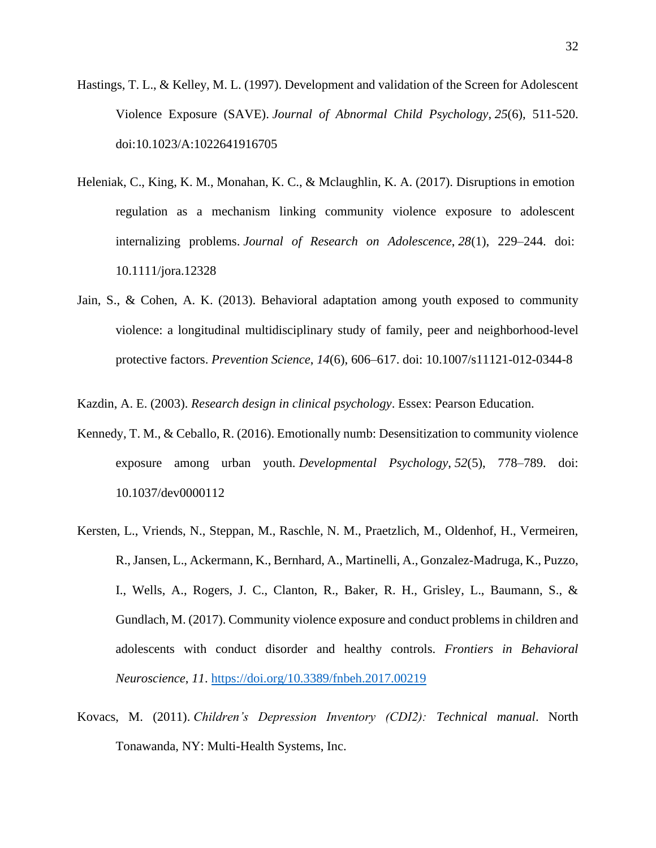- Hastings, T. L., & Kelley, M. L. (1997). Development and validation of the Screen for Adolescent Violence Exposure (SAVE). *Journal of Abnormal Child Psychology*, *25*(6), 511-520. doi:10.1023/A:1022641916705
- Heleniak, C., King, K. M., Monahan, K. C., & Mclaughlin, K. A. (2017). Disruptions in emotion regulation as a mechanism linking community violence exposure to adolescent internalizing problems. *Journal of Research on Adolescence*, *28*(1), 229–244. doi: 10.1111/jora.12328
- Jain, S., & Cohen, A. K. (2013). Behavioral adaptation among youth exposed to community violence: a longitudinal multidisciplinary study of family, peer and neighborhood-level protective factors. *Prevention Science*, *14*(6), 606–617. doi: 10.1007/s11121-012-0344-8

Kazdin, A. E. (2003). *Research design in clinical psychology*. Essex: Pearson Education.

- Kennedy, T. M., & Ceballo, R. (2016). Emotionally numb: Desensitization to community violence exposure among urban youth. *Developmental Psychology*, *52*(5), 778–789. doi: 10.1037/dev0000112
- Kersten, L., Vriends, N., Steppan, M., Raschle, N. M., Praetzlich, M., Oldenhof, H., Vermeiren, R., Jansen, L., Ackermann, K., Bernhard, A., Martinelli, A., Gonzalez-Madruga, K., Puzzo, I., Wells, A., Rogers, J. C., Clanton, R., Baker, R. H., Grisley, L., Baumann, S., & Gundlach, M. (2017). Community violence exposure and conduct problems in children and adolescents with conduct disorder and healthy controls. *Frontiers in Behavioral Neuroscience*, *11*. https://doi.org/10.3389/fnbeh.2017.00219
- Kovacs, M. (2011). *Children's Depression Inventory (CDI2): Technical manual*. North Tonawanda, NY: Multi-Health Systems, Inc.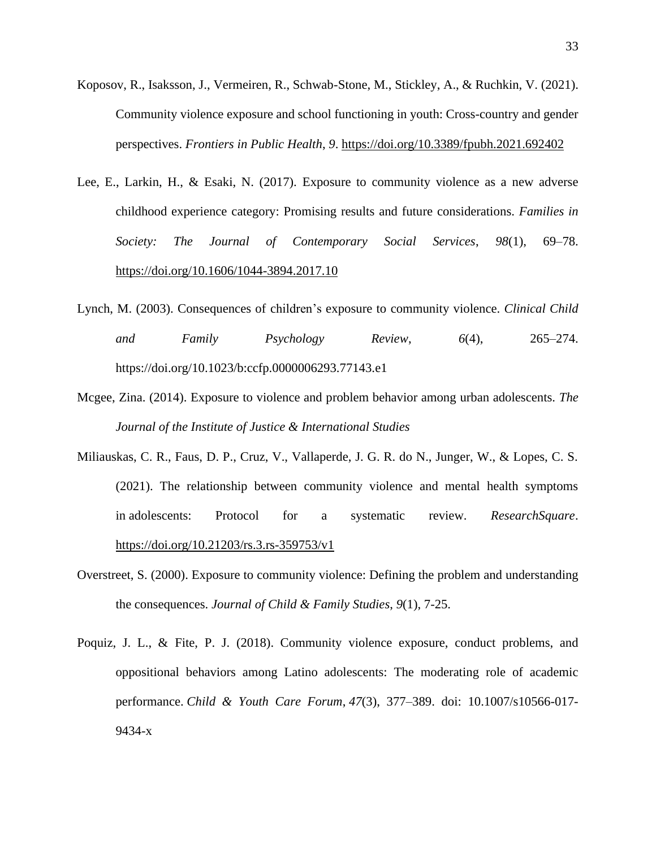- Koposov, R., Isaksson, J., Vermeiren, R., Schwab-Stone, M., Stickley, A., & Ruchkin, V. (2021). Community violence exposure and school functioning in youth: Cross-country and gender perspectives. *Frontiers in Public Health*, *9*. https://doi.org/10.3389/fpubh.2021.692402
- Lee, E., Larkin, H., & Esaki, N. (2017). Exposure to community violence as a new adverse childhood experience category: Promising results and future considerations. *Families in Society: The Journal of Contemporary Social Services*, *98*(1), 69–78. https://doi.org/10.1606/1044-3894.2017.10
- Lynch, M. (2003). Consequences of children's exposure to community violence. *Clinical Child and Family Psychology Review*, *6*(4), 265–274. https://doi.org/10.1023/b:ccfp.0000006293.77143.e1
- Mcgee, Zina. (2014). Exposure to violence and problem behavior among urban adolescents. *The Journal of the Institute of Justice & International Studies*
- Miliauskas, C. R., Faus, D. P., Cruz, V., Vallaperde, J. G. R. do N., Junger, W., & Lopes, C. S. (2021). The relationship between community violence and mental health symptoms in adolescents: Protocol for a systematic review. *ResearchSquare*. https://doi.org/10.21203/rs.3.rs-359753/v1
- Overstreet, S. (2000). Exposure to community violence: Defining the problem and understanding the consequences. *Journal of Child & Family Studies*, *9*(1), 7-25.
- Poquiz, J. L., & Fite, P. J. (2018). Community violence exposure, conduct problems, and oppositional behaviors among Latino adolescents: The moderating role of academic performance. *Child & Youth Care Forum*, *47*(3), 377–389. doi: 10.1007/s10566-017- 9434-x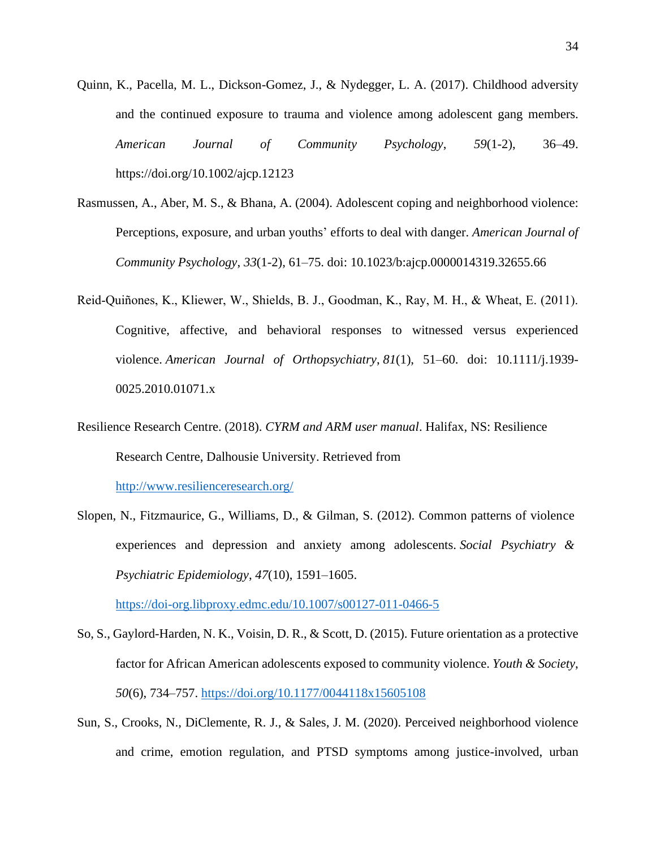- Quinn, K., Pacella, M. L., Dickson-Gomez, J., & Nydegger, L. A. (2017). Childhood adversity and the continued exposure to trauma and violence among adolescent gang members. *American Journal of Community Psychology*, *59*(1-2), 36–49. https://doi.org/10.1002/ajcp.12123
- Rasmussen, A., Aber, M. S., & Bhana, A. (2004). Adolescent coping and neighborhood violence: Perceptions, exposure, and urban youths' efforts to deal with danger. *American Journal of Community Psychology*, *33*(1-2), 61–75. doi: 10.1023/b:ajcp.0000014319.32655.66
- Reid‐Quiñones, K., Kliewer, W., Shields, B. J., Goodman, K., Ray, M. H., & Wheat, E. (2011). Cognitive, affective, and behavioral responses to witnessed versus experienced violence. *American Journal of Orthopsychiatry*, *81*(1), 51–60. doi: 10.1111/j.1939- 0025.2010.01071.x
- Resilience Research Centre. (2018). *CYRM and ARM user manual*. Halifax, NS: Resilience Research Centre, Dalhousie University. Retrieved from

http://www.resilienceresearch.org/

Slopen, N., Fitzmaurice, G., Williams, D., & Gilman, S. (2012). Common patterns of violence experiences and depression and anxiety among adolescents. *Social Psychiatry & Psychiatric Epidemiology*, *47*(10), 1591–1605.

https://doi-org.libproxy.edmc.edu/10.1007/s00127-011-0466-5

- So, S., Gaylord-Harden, N. K., Voisin, D. R., & Scott, D. (2015). Future orientation as a protective factor for African American adolescents exposed to community violence. *Youth & Society*, *50*(6), 734–757. https://doi.org/10.1177/0044118x15605108
- Sun, S., Crooks, N., DiClemente, R. J., & Sales, J. M. (2020). Perceived neighborhood violence and crime, emotion regulation, and PTSD symptoms among justice-involved, urban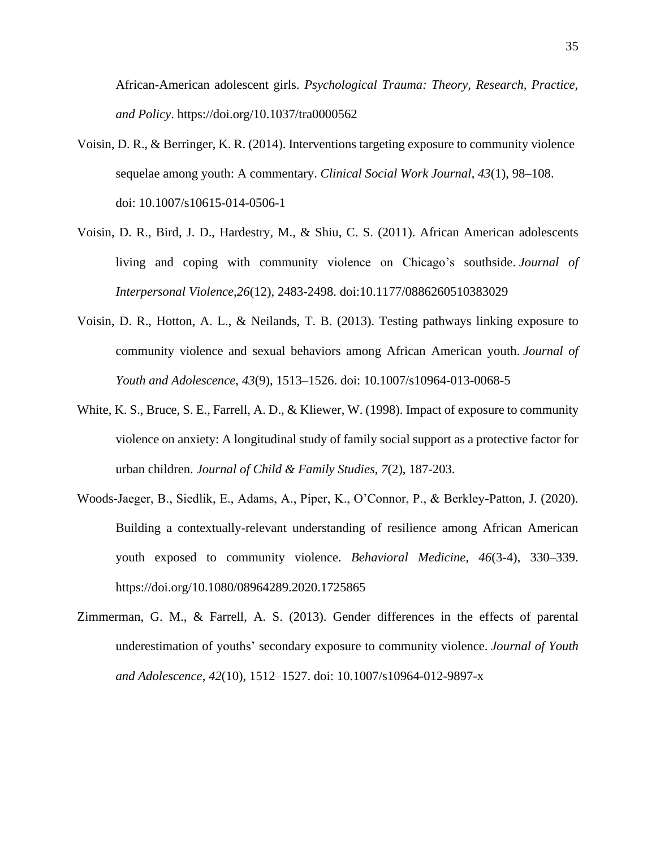African-American adolescent girls. *Psychological Trauma: Theory, Research, Practice, and Policy*. https://doi.org/10.1037/tra0000562

- Voisin, D. R., & Berringer, K. R. (2014). Interventions targeting exposure to community violence sequelae among youth: A commentary. *Clinical Social Work Journal*, *43*(1), 98–108. doi: 10.1007/s10615-014-0506-1
- Voisin, D. R., Bird, J. D., Hardestry, M., & Shiu, C. S. (2011). African American adolescents living and coping with community violence on Chicago's southside. *Journal of Interpersonal Violence,26*(12), 2483-2498. doi:10.1177/0886260510383029
- Voisin, D. R., Hotton, A. L., & Neilands, T. B. (2013). Testing pathways linking exposure to community violence and sexual behaviors among African American youth. *Journal of Youth and Adolescence*, *43*(9), 1513–1526. doi: 10.1007/s10964-013-0068-5
- White, K. S., Bruce, S. E., Farrell, A. D., & Kliewer, W. (1998). Impact of exposure to community violence on anxiety: A longitudinal study of family social support as a protective factor for urban children. *Journal of Child & Family Studies*, *7*(2), 187-203.
- Woods-Jaeger, B., Siedlik, E., Adams, A., Piper, K., O'Connor, P., & Berkley-Patton, J. (2020). Building a contextually-relevant understanding of resilience among African American youth exposed to community violence. *Behavioral Medicine*, *46*(3-4), 330–339. https://doi.org/10.1080/08964289.2020.1725865
- Zimmerman, G. M., & Farrell, A. S. (2013). Gender differences in the effects of parental underestimation of youths' secondary exposure to community violence. *Journal of Youth and Adolescence*, *42*(10), 1512–1527. doi: 10.1007/s10964-012-9897-x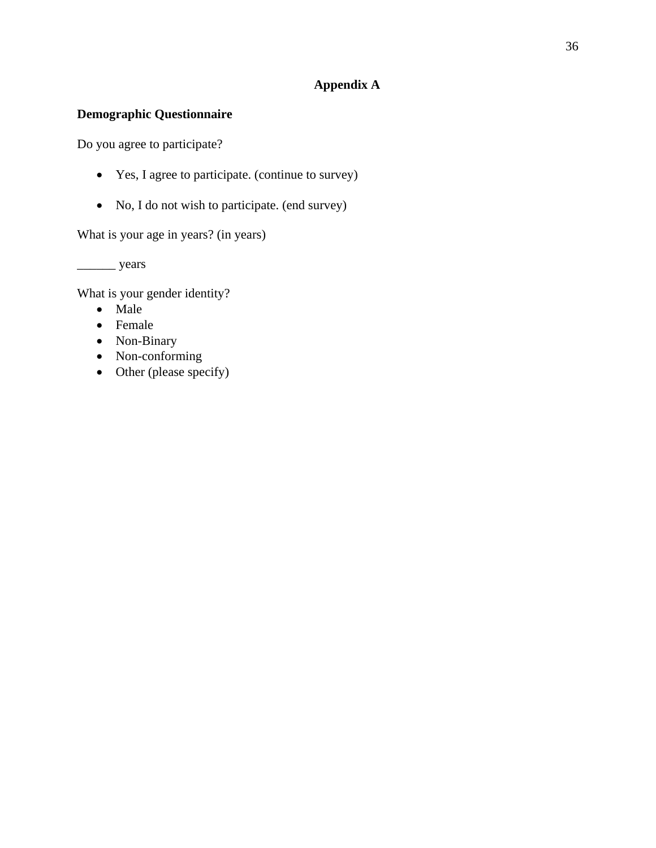## **Appendix A**

## **Demographic Questionnaire**

Do you agree to participate?

- Yes, I agree to participate. (continue to survey)
- No, I do not wish to participate. (end survey)

What is your age in years? (in years)

\_\_\_\_\_\_ years

What is your gender identity?

- Male
- Female
- Non-Binary
- Non-conforming
- Other (please specify)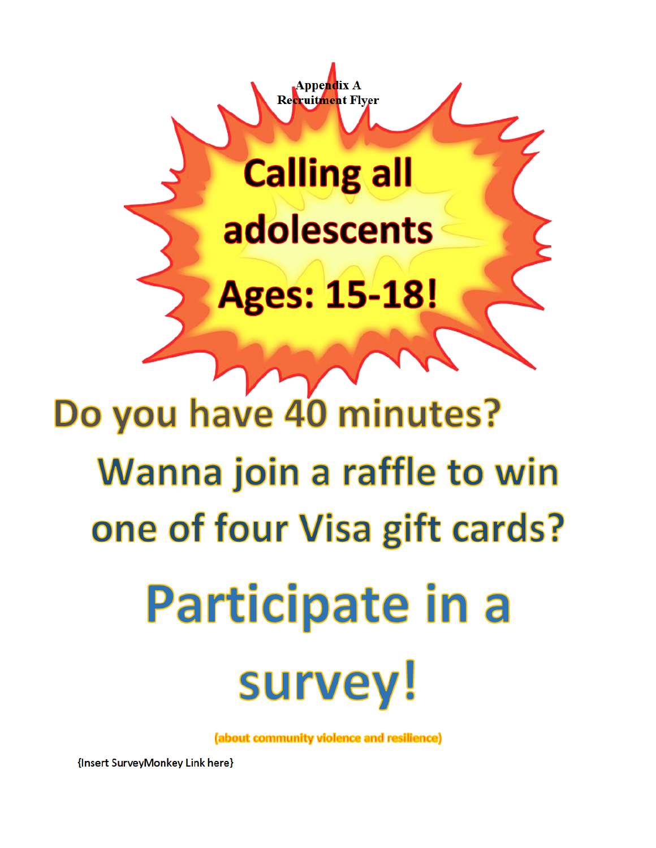**Calling all** adolescents **Ages: 15-18!** 

Appendix A Recruitment Flyer

# Do you have 40 minutes? Wanna join a raffle to win one of four Visa gift cards? Participate in a survey!

(about community violence and resilience)

{Insert SurveyMonkey Link here}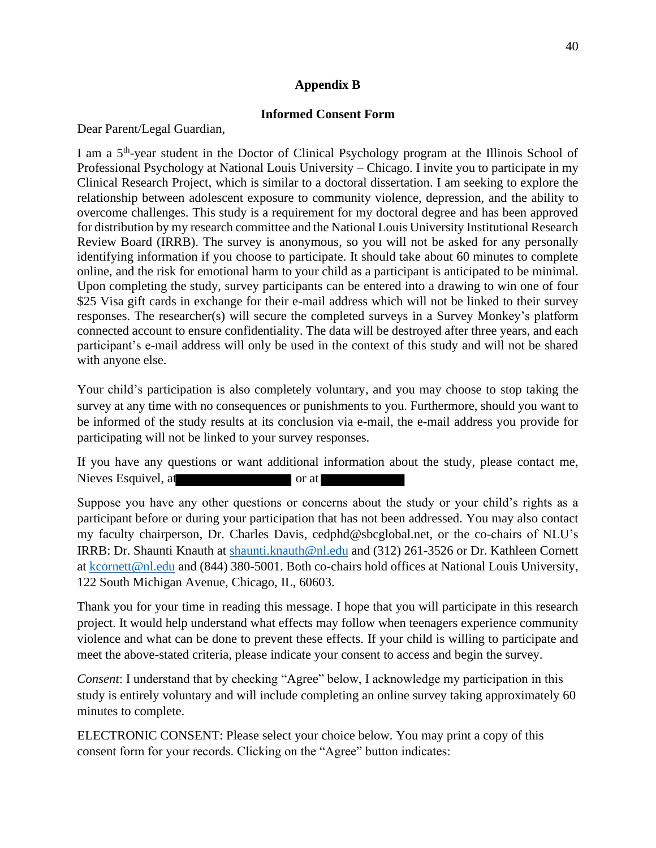### **Appendix B**

#### **Informed Consent Form**

Dear Parent/Legal Guardian,

I am a 5<sup>th</sup>-year student in the Doctor of Clinical Psychology program at the Illinois School of Professional Psychology at National Louis University – Chicago. I invite you to participate in my Clinical Research Project, which is similar to a doctoral dissertation. I am seeking to explore the relationship between adolescent exposure to community violence, depression, and the ability to overcome challenges. This study is a requirement for my doctoral degree and has been approved for distribution by my research committee and the National Louis University Institutional Research Review Board (IRRB). The survey is anonymous, so you will not be asked for any personally identifying information if you choose to participate. It should take about 60 minutes to complete online, and the risk for emotional harm to your child as a participant is anticipated to be minimal. Upon completing the study, survey participants can be entered into a drawing to win one of four \$25 Visa gift cards in exchange for their e-mail address which will not be linked to their survey responses. The researcher(s) will secure the completed surveys in a Survey Monkey's platform connected account to ensure confidentiality. The data will be destroyed after three years, and each participant's e-mail address will only be used in the context of this study and will not be shared with anyone else.

Your child's participation is also completely voluntary, and you may choose to stop taking the survey at any time with no consequences or punishments to you. Furthermore, should you want to be informed of the study results at its conclusion via e-mail, the e-mail address you provide for participating will not be linked to your survey responses.

If you have any questions or want additional information about the study, please contact me, Nieves Esquivel, at or at or at or at or at or at or at or at or at  $\alpha$ 

Suppose you have any other questions or concerns about the study or your child's rights as a participant before or during your participation that has not been addressed. You may also contact my faculty chairperson, Dr. Charles Davis, cedphd@sbcglobal.net, or the co-chairs of NLU's IRRB: Dr. Shaunti Knauth at shaunti.knauth@nl.edu and (312) 261-3526 or Dr. Kathleen Cornett at kcornett@nl.edu and (844) 380-5001. Both co-chairs hold offices at National Louis University, 122 South Michigan Avenue, Chicago, IL, 60603.

Thank you for your time in reading this message. I hope that you will participate in this research project. It would help understand what effects may follow when teenagers experience community violence and what can be done to prevent these effects. If your child is willing to participate and meet the above-stated criteria, please indicate your consent to access and begin the survey.

*Consent*: I understand that by checking "Agree" below, I acknowledge my participation in this study is entirely voluntary and will include completing an online survey taking approximately 60 minutes to complete.

ELECTRONIC CONSENT: Please select your choice below. You may print a copy of this consent form for your records. Clicking on the "Agree" button indicates: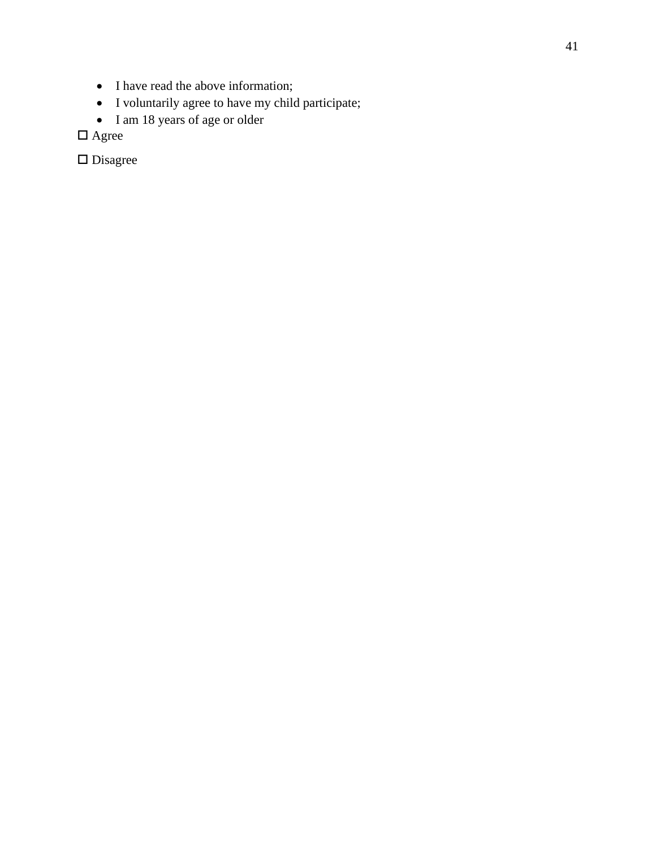- I have read the above information;
- I voluntarily agree to have my child participate;
- I am 18 years of age or older

 $\Box$  <br> Agree

 $\hfill \square$  Disagree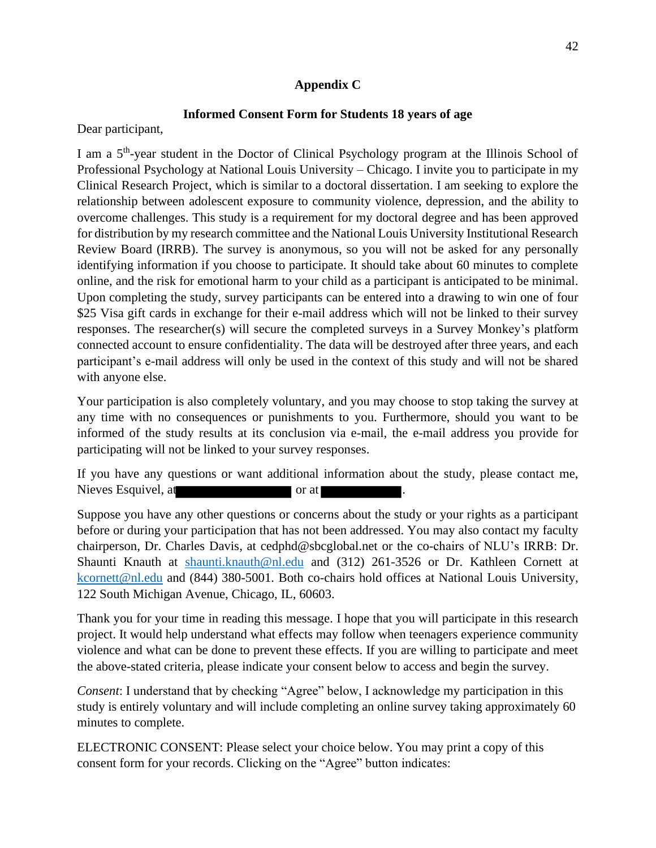## **Appendix C**

## **Informed Consent Form for Students 18 years of age**

Dear participant,

I am a 5<sup>th</sup>-year student in the Doctor of Clinical Psychology program at the Illinois School of Professional Psychology at National Louis University – Chicago. I invite you to participate in my Clinical Research Project, which is similar to a doctoral dissertation. I am seeking to explore the relationship between adolescent exposure to community violence, depression, and the ability to overcome challenges. This study is a requirement for my doctoral degree and has been approved for distribution by my research committee and the National Louis University Institutional Research Review Board (IRRB). The survey is anonymous, so you will not be asked for any personally identifying information if you choose to participate. It should take about 60 minutes to complete online, and the risk for emotional harm to your child as a participant is anticipated to be minimal. Upon completing the study, survey participants can be entered into a drawing to win one of four \$25 Visa gift cards in exchange for their e-mail address which will not be linked to their survey responses. The researcher(s) will secure the completed surveys in a Survey Monkey's platform connected account to ensure confidentiality. The data will be destroyed after three years, and each participant's e-mail address will only be used in the context of this study and will not be shared with anyone else.

Your participation is also completely voluntary, and you may choose to stop taking the survey at any time with no consequences or punishments to you. Furthermore, should you want to be informed of the study results at its conclusion via e-mail, the e-mail address you provide for participating will not be linked to your survey responses.

If you have any questions or want additional information about the study, please contact me, Nieves Esquivel, at **the contract of the Sequivel** or at ...

Suppose you have any other questions or concerns about the study or your rights as a participant before or during your participation that has not been addressed. You may also contact my faculty chairperson, Dr. Charles Davis, at cedphd@sbcglobal.net or the co-chairs of NLU's IRRB: Dr. Shaunti Knauth at shaunti.knauth@nl.edu and (312) 261-3526 or Dr. Kathleen Cornett at kcornett@nl.edu and (844) 380-5001. Both co-chairs hold offices at National Louis University, 122 South Michigan Avenue, Chicago, IL, 60603.

Thank you for your time in reading this message. I hope that you will participate in this research project. It would help understand what effects may follow when teenagers experience community violence and what can be done to prevent these effects. If you are willing to participate and meet the above-stated criteria, please indicate your consent below to access and begin the survey.

*Consent*: I understand that by checking "Agree" below, I acknowledge my participation in this study is entirely voluntary and will include completing an online survey taking approximately 60 minutes to complete.

ELECTRONIC CONSENT: Please select your choice below. You may print a copy of this consent form for your records. Clicking on the "Agree" button indicates: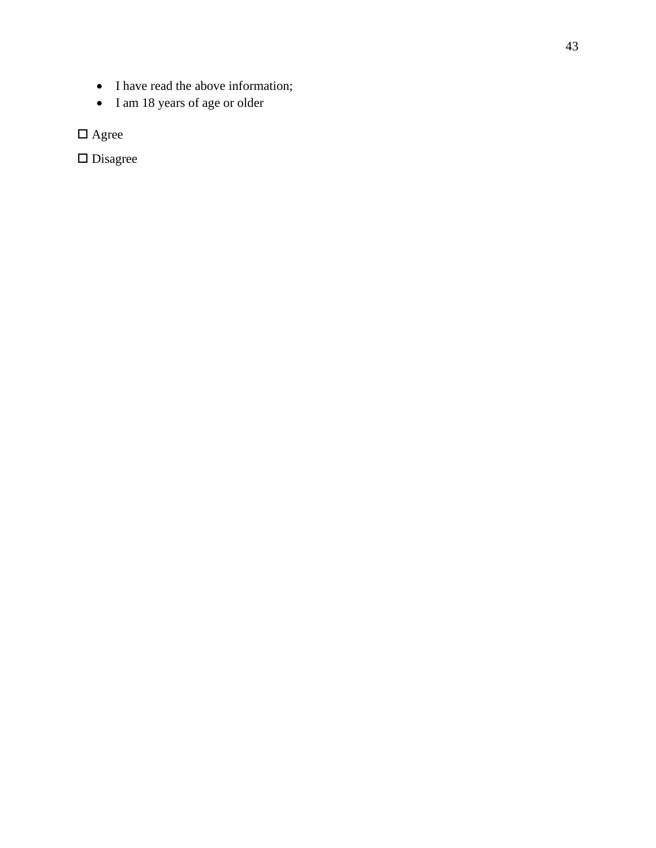- I have read the above information;
- I am 18 years of age or older

 $\Box$  <br> Agree

 $\hfill \square$  Disagree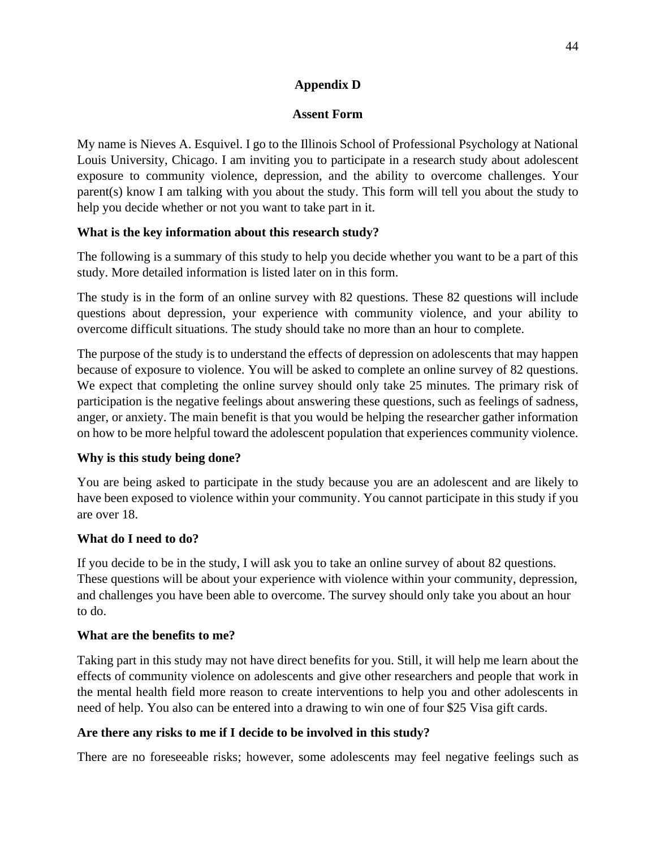## **Appendix D**

## **Assent Form**

My name is Nieves A. Esquivel. I go to the Illinois School of Professional Psychology at National Louis University, Chicago. I am inviting you to participate in a research study about adolescent exposure to community violence, depression, and the ability to overcome challenges. Your parent(s) know I am talking with you about the study. This form will tell you about the study to help you decide whether or not you want to take part in it.

## **What is the key information about this research study?**

The following is a summary of this study to help you decide whether you want to be a part of this study. More detailed information is listed later on in this form.

The study is in the form of an online survey with 82 questions. These 82 questions will include questions about depression, your experience with community violence, and your ability to overcome difficult situations. The study should take no more than an hour to complete.

The purpose of the study is to understand the effects of depression on adolescents that may happen because of exposure to violence. You will be asked to complete an online survey of 82 questions. We expect that completing the online survey should only take 25 minutes. The primary risk of participation is the negative feelings about answering these questions, such as feelings of sadness, anger, or anxiety. The main benefit is that you would be helping the researcher gather information on how to be more helpful toward the adolescent population that experiences community violence.

## **Why is this study being done?**

You are being asked to participate in the study because you are an adolescent and are likely to have been exposed to violence within your community. You cannot participate in this study if you are over 18.

## **What do I need to do?**

If you decide to be in the study, I will ask you to take an online survey of about 82 questions. These questions will be about your experience with violence within your community, depression, and challenges you have been able to overcome. The survey should only take you about an hour to do.

## **What are the benefits to me?**

Taking part in this study may not have direct benefits for you. Still, it will help me learn about the effects of community violence on adolescents and give other researchers and people that work in the mental health field more reason to create interventions to help you and other adolescents in need of help. You also can be entered into a drawing to win one of four \$25 Visa gift cards.

## **Are there any risks to me if I decide to be involved in this study?**

There are no foreseeable risks; however, some adolescents may feel negative feelings such as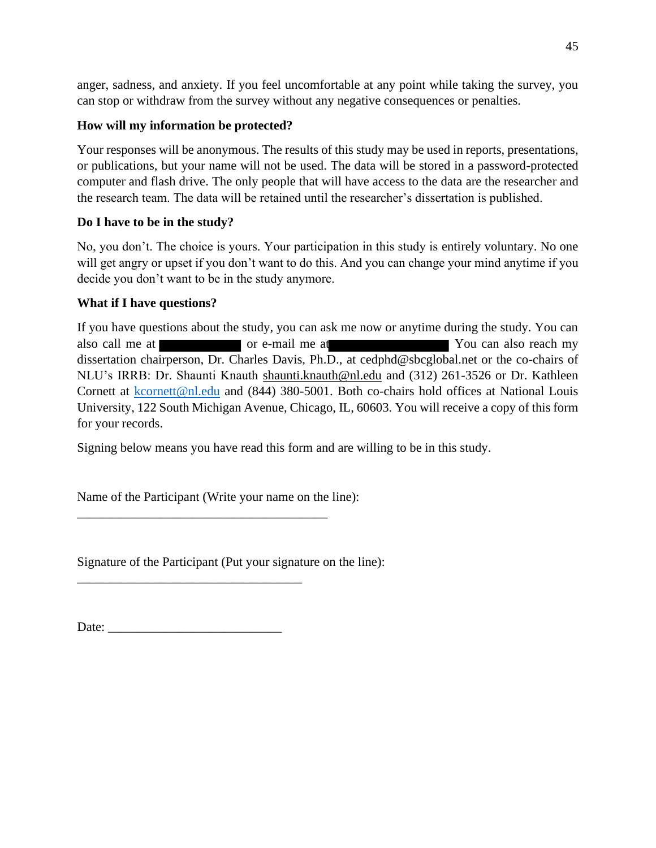anger, sadness, and anxiety. If you feel uncomfortable at any point while taking the survey, you can stop or withdraw from the survey without any negative consequences or penalties.

## **How will my information be protected?**

Your responses will be anonymous. The results of this study may be used in reports, presentations, or publications, but your name will not be used. The data will be stored in a password-protected computer and flash drive. The only people that will have access to the data are the researcher and the research team. The data will be retained until the researcher's dissertation is published.

## **Do I have to be in the study?**

No, you don't. The choice is yours. Your participation in this study is entirely voluntary. No one will get angry or upset if you don't want to do this. And you can change your mind anytime if you decide you don't want to be in the study anymore.

## **What if I have questions?**

If you have questions about the study, you can ask me now or anytime during the study. You can also call me at or e-mail me at T or e-mail me at T ou can also reach my dissertation chairperson, Dr. Charles Davis, Ph.D., at cedphd@sbcglobal.net or the co-chairs of NLU's IRRB: Dr. Shaunti Knauth shaunti.knauth@nl.edu and (312) 261-3526 or Dr. Kathleen Cornett at kcornett@nl.edu and (844) 380-5001. Both co-chairs hold offices at National Louis University, 122 South Michigan Avenue, Chicago, IL, 60603. You will receive a copy of this form for your records.

Signing below means you have read this form and are willing to be in this study.

Name of the Participant (Write your name on the line):

\_\_\_\_\_\_\_\_\_\_\_\_\_\_\_\_\_\_\_\_\_\_\_\_\_\_\_\_\_\_\_\_\_\_\_\_\_\_\_

Signature of the Participant (Put your signature on the line):

Date: \_\_\_\_\_\_\_\_\_\_\_\_\_\_\_\_\_\_\_\_\_\_\_\_\_\_\_

\_\_\_\_\_\_\_\_\_\_\_\_\_\_\_\_\_\_\_\_\_\_\_\_\_\_\_\_\_\_\_\_\_\_\_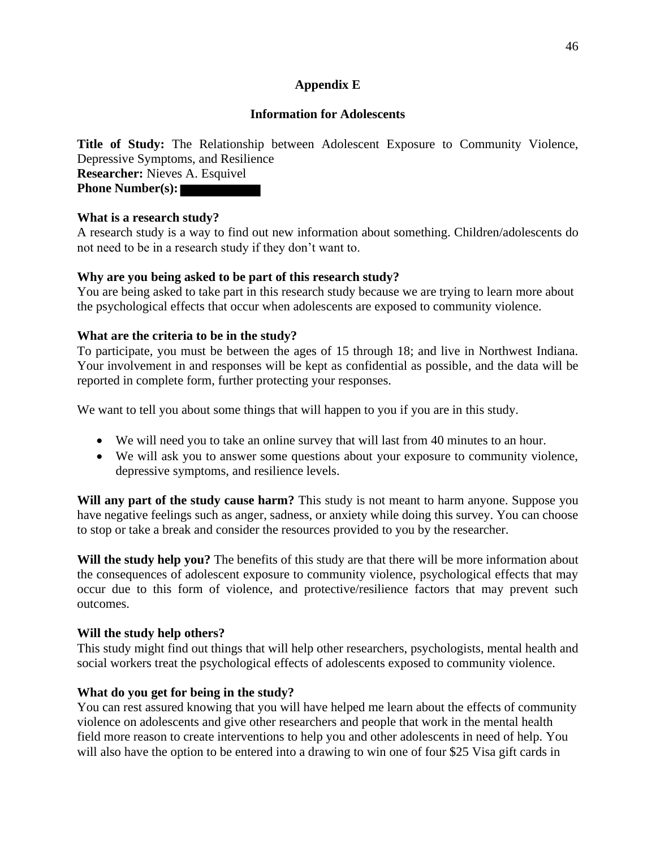## **Appendix E**

## **Information for Adolescents**

**Title of Study:** The Relationship between Adolescent Exposure to Community Violence, Depressive Symptoms, and Resilience **Researcher:** Nieves A. Esquivel **Phone Number(s):**

## **What is a research study?**

A research study is a way to find out new information about something. Children/adolescents do not need to be in a research study if they don't want to.

## **Why are you being asked to be part of this research study?**

You are being asked to take part in this research study because we are trying to learn more about the psychological effects that occur when adolescents are exposed to community violence.

## **What are the criteria to be in the study?**

To participate, you must be between the ages of 15 through 18; and live in Northwest Indiana. Your involvement in and responses will be kept as confidential as possible, and the data will be reported in complete form, further protecting your responses.

We want to tell you about some things that will happen to you if you are in this study.

- We will need you to take an online survey that will last from 40 minutes to an hour.
- We will ask you to answer some questions about your exposure to community violence, depressive symptoms, and resilience levels.

**Will any part of the study cause harm?** This study is not meant to harm anyone. Suppose you have negative feelings such as anger, sadness, or anxiety while doing this survey. You can choose to stop or take a break and consider the resources provided to you by the researcher.

**Will the study help you?** The benefits of this study are that there will be more information about the consequences of adolescent exposure to community violence, psychological effects that may occur due to this form of violence, and protective/resilience factors that may prevent such outcomes.

## **Will the study help others?**

This study might find out things that will help other researchers, psychologists, mental health and social workers treat the psychological effects of adolescents exposed to community violence.

## **What do you get for being in the study?**

You can rest assured knowing that you will have helped me learn about the effects of community violence on adolescents and give other researchers and people that work in the mental health field more reason to create interventions to help you and other adolescents in need of help. You will also have the option to be entered into a drawing to win one of four \$25 Visa gift cards in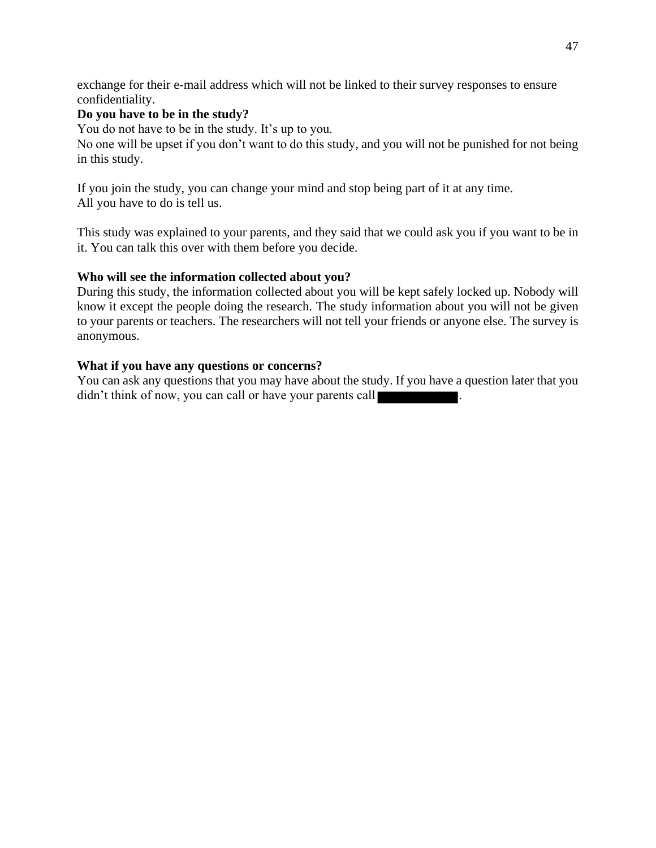exchange for their e-mail address which will not be linked to their survey responses to ensure confidentiality.

## **Do you have to be in the study?**

You do not have to be in the study. It's up to you.

No one will be upset if you don't want to do this study, and you will not be punished for not being in this study.

If you join the study, you can change your mind and stop being part of it at any time. All you have to do is tell us.

This study was explained to your parents, and they said that we could ask you if you want to be in it. You can talk this over with them before you decide.

## **Who will see the information collected about you?**

During this study, the information collected about you will be kept safely locked up. Nobody will know it except the people doing the research. The study information about you will not be given to your parents or teachers. The researchers will not tell your friends or anyone else. The survey is anonymous.

## **What if you have any questions or concerns?**

You can ask any questions that you may have about the study. If you have a question later that you didn't think of now, you can call or have your parents call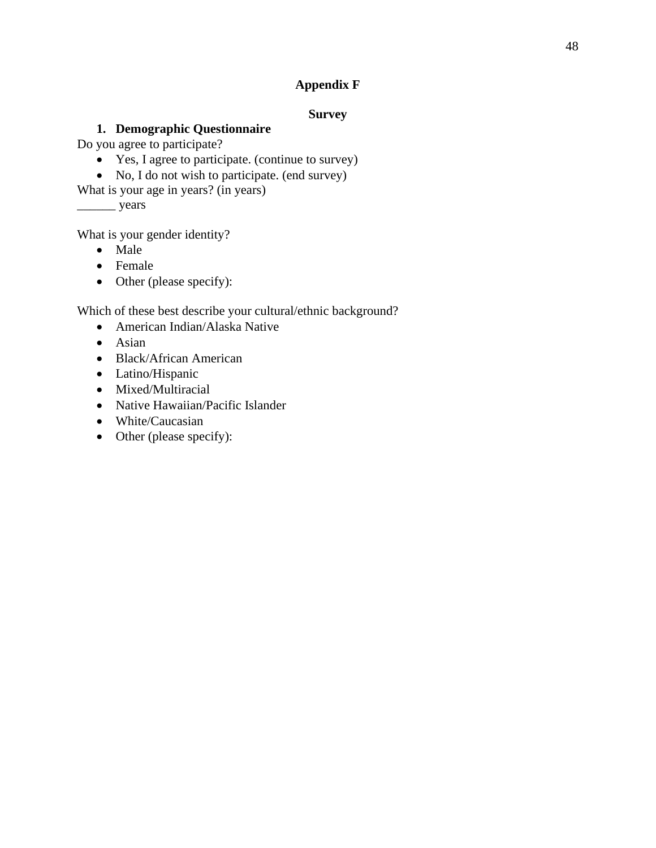## **Appendix F**

## **Survey**

## **1. Demographic Questionnaire**

Do you agree to participate?

- Yes, I agree to participate. (continue to survey)
- No, I do not wish to participate. (end survey)
- What is your age in years? (in years)

\_\_\_\_\_\_ years

What is your gender identity?

- Male
- Female
- Other (please specify):

Which of these best describe your cultural/ethnic background?

- American Indian/Alaska Native
- Asian
- Black/African American
- Latino/Hispanic
- Mixed/Multiracial
- Native Hawaiian/Pacific Islander
- White/Caucasian
- Other (please specify):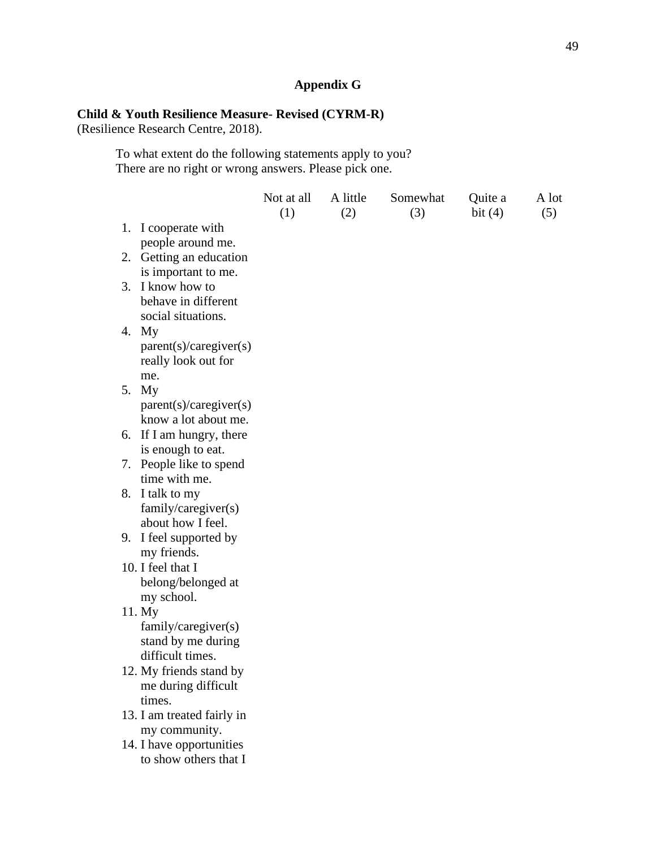## **Appendix G**

## **Child & Youth Resilience Measure- Revised (CYRM-R)**

(Resilience Research Centre, 2018).

To what extent do the following statements apply to you? There are no right or wrong answers. Please pick one.

|                                                                         | Not at all<br>(1) | A little<br>(2) | Somewhat<br>(3) | Quite a<br>bit $(4)$ | A lot<br>(5) |
|-------------------------------------------------------------------------|-------------------|-----------------|-----------------|----------------------|--------------|
| 1. I cooperate with<br>people around me.                                |                   |                 |                 |                      |              |
| 2. Getting an education<br>is important to me.                          |                   |                 |                 |                      |              |
| 3. I know how to<br>behave in different<br>social situations.           |                   |                 |                 |                      |              |
| 4. My<br>parent(s)/caregiver(s)<br>really look out for<br>me.           |                   |                 |                 |                      |              |
| 5. My<br>parent(s)/caregiver(s)<br>know a lot about me.                 |                   |                 |                 |                      |              |
| 6. If I am hungry, there<br>is enough to eat.                           |                   |                 |                 |                      |              |
| 7. People like to spend<br>time with me.                                |                   |                 |                 |                      |              |
| 8. I talk to my<br>family/caregiver(s)<br>about how I feel.             |                   |                 |                 |                      |              |
| 9. I feel supported by<br>my friends.                                   |                   |                 |                 |                      |              |
| 10. I feel that I<br>belong/belonged at<br>my school.                   |                   |                 |                 |                      |              |
| 11. My<br>family/caregiver(s)<br>stand by me during<br>difficult times. |                   |                 |                 |                      |              |
| 12. My friends stand by<br>me during difficult<br>times.                |                   |                 |                 |                      |              |
| 13. I am treated fairly in<br>my community.                             |                   |                 |                 |                      |              |
| 14. I have opportunities<br>to show others that I                       |                   |                 |                 |                      |              |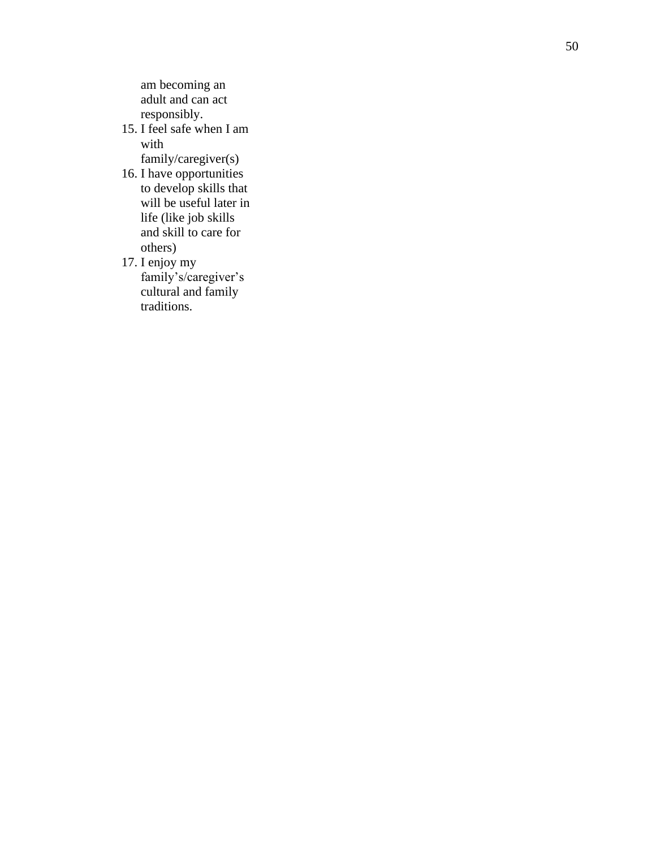am becoming an adult and can act responsibly.

15. I feel safe when I am with family/caregiver(s)

- 16. I have opportunities to develop skills that will be useful later in life (like job skills and skill to care for others)
- 17. I enjoy my family's/caregiver's cultural and family traditions.